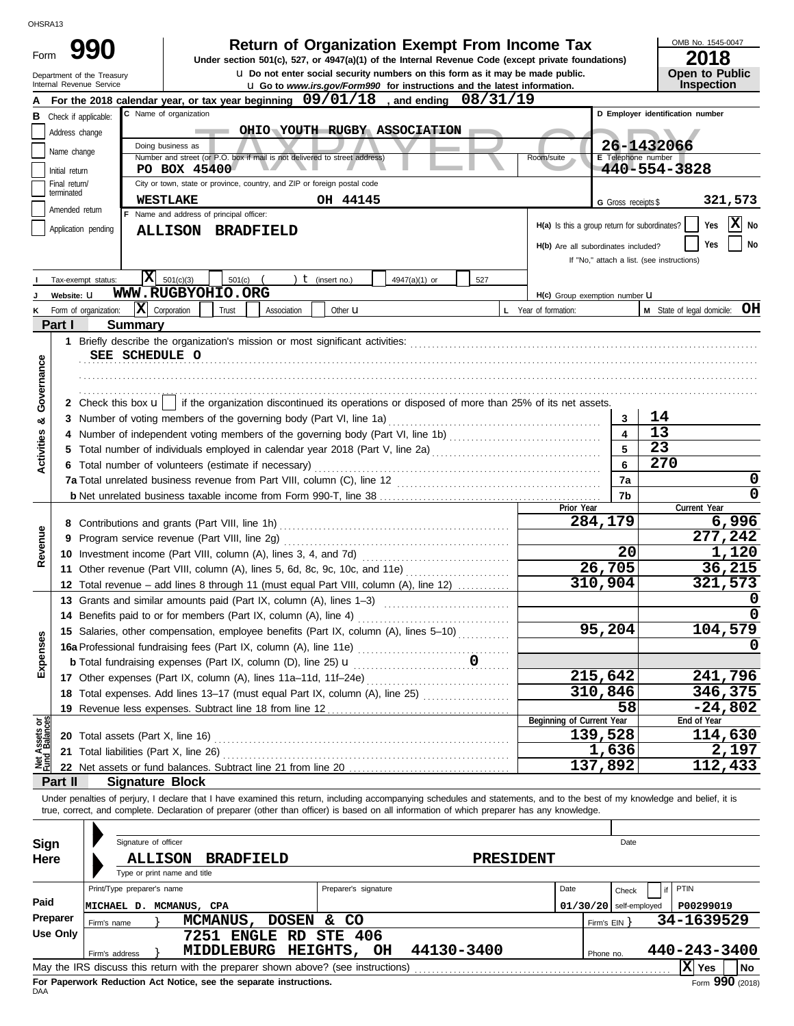| OHSRA13            |                                 |                                                                                   |                                                                                          |                  |             |                        |                                                                                                                                                                            |           |                                               |                                            |                                  |                                     |
|--------------------|---------------------------------|-----------------------------------------------------------------------------------|------------------------------------------------------------------------------------------|------------------|-------------|------------------------|----------------------------------------------------------------------------------------------------------------------------------------------------------------------------|-----------|-----------------------------------------------|--------------------------------------------|----------------------------------|-------------------------------------|
| Form               |                                 | 990                                                                               |                                                                                          |                  |             |                        | <b>Return of Organization Exempt From Income Tax</b>                                                                                                                       |           |                                               |                                            |                                  | OMB No. 1545-0047                   |
|                    |                                 |                                                                                   |                                                                                          |                  |             |                        | Under section 501(c), 527, or 4947(a)(1) of the Internal Revenue Code (except private foundations)                                                                         |           |                                               |                                            |                                  | 2018                                |
|                    |                                 | Department of the Treasury<br>Internal Revenue Service                            |                                                                                          |                  |             |                        | <b>u</b> Do not enter social security numbers on this form as it may be made public.<br><b>u</b> Go to www.irs.gov/Form990 for instructions and the latest information.    |           |                                               |                                            |                                  | <b>Open to Public</b><br>Inspection |
|                    |                                 |                                                                                   |                                                                                          |                  |             |                        | For the 2018 calendar year, or tax year beginning $09/01/18$ , and ending                                                                                                  | 08/31/19  |                                               |                                            |                                  |                                     |
|                    | <b>B</b> Check if applicable:   |                                                                                   | C Name of organization                                                                   |                  |             |                        |                                                                                                                                                                            |           |                                               |                                            | D Employer identification number |                                     |
|                    | Address change                  |                                                                                   |                                                                                          |                  |             |                        | OHIO YOUTH RUGBY ASSOCIATION                                                                                                                                               |           |                                               |                                            |                                  |                                     |
|                    |                                 |                                                                                   | Doing business as                                                                        |                  |             |                        |                                                                                                                                                                            |           |                                               |                                            | 26-1432066                       |                                     |
|                    | Name change                     |                                                                                   | Number and street (or P.O. box if mail is not delivered to street address)               |                  |             |                        |                                                                                                                                                                            |           | Room/suite                                    | E Telephone number                         |                                  |                                     |
|                    | Initial return<br>Final return/ |                                                                                   | PO BOX 45400<br>City or town, state or province, country, and ZIP or foreign postal code |                  |             |                        |                                                                                                                                                                            |           |                                               |                                            | 440-554-3828                     |                                     |
|                    | terminated                      |                                                                                   |                                                                                          |                  |             |                        |                                                                                                                                                                            |           |                                               |                                            |                                  |                                     |
|                    | Amended return                  |                                                                                   | <b>WESTLAKE</b><br>F Name and address of principal officer:                              |                  |             | OH 44145               |                                                                                                                                                                            |           |                                               | G Gross receipts \$                        |                                  | 321,573                             |
|                    | Application pending             |                                                                                   | <b>ALLISON BRADFIELD</b>                                                                 |                  |             |                        |                                                                                                                                                                            |           | H(a) Is this a group return for subordinates? |                                            |                                  | X No<br>Yes                         |
|                    |                                 |                                                                                   |                                                                                          |                  |             |                        |                                                                                                                                                                            |           | H(b) Are all subordinates included?           |                                            |                                  | No<br>Yes                           |
|                    |                                 |                                                                                   |                                                                                          |                  |             |                        |                                                                                                                                                                            |           |                                               | If "No," attach a list. (see instructions) |                                  |                                     |
|                    |                                 | Tax-exempt status:                                                                | $ \mathbf{X} $ 501(c)(3)                                                                 | 501(c)           |             | ) $t$ (insert no.)     | 4947(a)(1) or                                                                                                                                                              | 527       |                                               |                                            |                                  |                                     |
|                    | Website: U                      |                                                                                   | WWW.RUGBYOHIO.ORG                                                                        |                  |             |                        |                                                                                                                                                                            |           | H(c) Group exemption number LI                |                                            |                                  |                                     |
|                    |                                 | Form of organization:                                                             | $ \mathbf{X} $ Corporation                                                               | Trust            | Association | Other $\mathbf u$      |                                                                                                                                                                            |           | L Year of formation:                          |                                            | M State of legal domicile:       | OН                                  |
|                    | Part I                          | Summary                                                                           |                                                                                          |                  |             |                        |                                                                                                                                                                            |           |                                               |                                            |                                  |                                     |
|                    |                                 |                                                                                   |                                                                                          |                  |             |                        |                                                                                                                                                                            |           |                                               |                                            |                                  |                                     |
|                    |                                 | SEE SCHEDULE O                                                                    |                                                                                          |                  |             |                        |                                                                                                                                                                            |           |                                               |                                            |                                  |                                     |
| Governance         |                                 |                                                                                   |                                                                                          |                  |             |                        |                                                                                                                                                                            |           |                                               |                                            |                                  |                                     |
|                    |                                 |                                                                                   |                                                                                          |                  |             |                        |                                                                                                                                                                            |           |                                               |                                            |                                  |                                     |
|                    |                                 |                                                                                   |                                                                                          |                  |             |                        | 2 Check this box $\mathbf{u}$   if the organization discontinued its operations or disposed of more than 25% of its net assets.                                            |           |                                               |                                            |                                  |                                     |
| ಯ                  |                                 |                                                                                   |                                                                                          |                  |             |                        |                                                                                                                                                                            |           |                                               | 3                                          | 14                               |                                     |
|                    |                                 |                                                                                   |                                                                                          |                  |             |                        |                                                                                                                                                                            |           |                                               | $\overline{\mathbf{4}}$                    | 13                               |                                     |
| <b>Activities</b>  |                                 |                                                                                   |                                                                                          |                  | 5           | 23                     |                                                                                                                                                                            |           |                                               |                                            |                                  |                                     |
|                    |                                 | 6 Total number of volunteers (estimate if necessary)                              |                                                                                          |                  |             |                        | 6                                                                                                                                                                          | 270       |                                               |                                            |                                  |                                     |
|                    |                                 |                                                                                   |                                                                                          |                  |             |                        |                                                                                                                                                                            |           |                                               | 7a                                         |                                  | 0                                   |
|                    |                                 |                                                                                   |                                                                                          |                  |             |                        |                                                                                                                                                                            |           |                                               | 7b                                         |                                  | 0<br>Current Year                   |
|                    |                                 |                                                                                   |                                                                                          |                  |             |                        |                                                                                                                                                                            |           | Prior Year                                    | 284,179                                    |                                  | 6,996                               |
|                    |                                 |                                                                                   |                                                                                          |                  |             |                        |                                                                                                                                                                            | 277,242   |                                               |                                            |                                  |                                     |
| Revenue            |                                 |                                                                                   |                                                                                          |                  |             |                        |                                                                                                                                                                            |           |                                               | 20                                         |                                  | 1,120                               |
|                    |                                 |                                                                                   |                                                                                          |                  |             |                        | 11 Other revenue (Part VIII, column (A), lines 5, 6d, 8c, 9c, 10c, and 11e)                                                                                                |           |                                               | 26,705                                     |                                  | 36,215                              |
|                    |                                 |                                                                                   |                                                                                          |                  |             |                        | 12 Total revenue - add lines 8 through 11 (must equal Part VIII, column (A), line 12)                                                                                      |           |                                               | 310,904                                    |                                  | 321,573                             |
|                    |                                 |                                                                                   |                                                                                          |                  |             |                        | 13 Grants and similar amounts paid (Part IX, column (A), lines 1-3)                                                                                                        |           |                                               |                                            |                                  | 0                                   |
|                    |                                 |                                                                                   |                                                                                          |                  |             |                        |                                                                                                                                                                            |           |                                               |                                            |                                  | 0                                   |
|                    |                                 |                                                                                   |                                                                                          |                  |             |                        | 15 Salaries, other compensation, employee benefits (Part IX, column (A), lines 5-10)                                                                                       |           |                                               | 95,204                                     |                                  | 104,579                             |
|                    |                                 |                                                                                   |                                                                                          |                  |             |                        |                                                                                                                                                                            |           |                                               |                                            |                                  | 0                                   |
| Expenses           |                                 | <b>b</b> Total fundraising expenses (Part IX, column (D), line 25) <b>u</b>       |                                                                                          |                  |             |                        | $\overline{\phantom{a}}$                                                                                                                                                   |           |                                               |                                            |                                  |                                     |
|                    |                                 |                                                                                   |                                                                                          |                  |             |                        |                                                                                                                                                                            |           |                                               | 215,642                                    |                                  | 241,796                             |
|                    |                                 |                                                                                   |                                                                                          |                  |             |                        | 18 Total expenses. Add lines 13-17 (must equal Part IX, column (A), line 25)                                                                                               |           |                                               | 310,846                                    |                                  | 346,375                             |
|                    |                                 | 19 Revenue less expenses. Subtract line 18 from line 12                           |                                                                                          |                  |             |                        |                                                                                                                                                                            |           |                                               | 58                                         |                                  | $-24,802$                           |
| as<br>Ogs          |                                 | 20 Total assets (Part X, line 16)                                                 |                                                                                          |                  |             |                        |                                                                                                                                                                            |           | Beginning of Current Year                     | 139,528                                    |                                  | End of Year<br>114,630              |
| Assets<br>1 Balanc |                                 | 21 Total liabilities (Part X, line 26)                                            |                                                                                          |                  |             |                        |                                                                                                                                                                            |           |                                               | 1,636                                      |                                  | 2,197                               |
|                    |                                 |                                                                                   |                                                                                          |                  |             |                        |                                                                                                                                                                            |           |                                               | 137,892                                    |                                  | 112,433                             |
|                    | Part II                         | <b>Signature Block</b>                                                            |                                                                                          |                  |             |                        |                                                                                                                                                                            |           |                                               |                                            |                                  |                                     |
|                    |                                 |                                                                                   |                                                                                          |                  |             |                        | Under penalties of perjury, I declare that I have examined this return, including accompanying schedules and statements, and to the best of my knowledge and belief, it is |           |                                               |                                            |                                  |                                     |
|                    |                                 |                                                                                   |                                                                                          |                  |             |                        | true, correct, and complete. Declaration of preparer (other than officer) is based on all information of which preparer has any knowledge.                                 |           |                                               |                                            |                                  |                                     |
|                    |                                 |                                                                                   |                                                                                          |                  |             |                        |                                                                                                                                                                            |           |                                               |                                            |                                  |                                     |
| Sign               |                                 | Signature of officer                                                              |                                                                                          |                  |             |                        |                                                                                                                                                                            |           |                                               | Date                                       |                                  |                                     |
| Here               |                                 | <b>ALLISON</b>                                                                    |                                                                                          | <b>BRADFIELD</b> |             |                        |                                                                                                                                                                            | PRESIDENT |                                               |                                            |                                  |                                     |
|                    |                                 |                                                                                   | Type or print name and title                                                             |                  |             |                        |                                                                                                                                                                            |           |                                               |                                            |                                  |                                     |
|                    |                                 | Print/Type preparer's name                                                        |                                                                                          |                  |             | Preparer's signature   |                                                                                                                                                                            |           | Date                                          | Check                                      | PTIN                             |                                     |
| Paid               |                                 | MICHAEL D. MCMANUS, CPA                                                           |                                                                                          |                  |             |                        |                                                                                                                                                                            |           |                                               | $01/30/20$ self-employed                   |                                  | P00299019                           |
|                    | Preparer                        | Firm's name                                                                       | MCMANUS,                                                                                 |                  |             | DOSEN & CO             |                                                                                                                                                                            |           |                                               | Firm's $EIN$ }                             |                                  | 34-1639529                          |
|                    | Use Only                        |                                                                                   |                                                                                          |                  |             | 7251 ENGLE RD STE 406  |                                                                                                                                                                            |           |                                               |                                            |                                  |                                     |
|                    |                                 | Firm's address                                                                    |                                                                                          |                  |             | MIDDLEBURG HEIGHTS, OH | 44130-3400                                                                                                                                                                 |           |                                               | Phone no.                                  |                                  | 440-243-3400                        |
|                    |                                 | May the IRS discuss this return with the preparer shown above? (see instructions) |                                                                                          |                  |             |                        |                                                                                                                                                                            |           |                                               |                                            |                                  | $ X $ Yes<br>No                     |

| Sign     | Signature of officer                                                                                    |                                     | Date                                  |  |  |  |  |  |  |  |  |
|----------|---------------------------------------------------------------------------------------------------------|-------------------------------------|---------------------------------------|--|--|--|--|--|--|--|--|
| Here     | <b>ALLISON</b><br><b>BRADFIELD</b><br>Type or print name and title                                      | <b>PRESIDENT</b>                    |                                       |  |  |  |  |  |  |  |  |
|          | Print/Type preparer's name                                                                              | Preparer's signature                | Date<br>PTIN<br>Check                 |  |  |  |  |  |  |  |  |
| Paid     | MICHAEL D.<br>MCMANUS, CPA                                                                              |                                     | $01/30/20$ self-employed<br>P00299019 |  |  |  |  |  |  |  |  |
| Preparer | <b>MCMANUS,</b><br><b>DOSEN</b><br>Firm's name                                                          | CO<br>$\mathbf{x}$                  | 34-1639529<br>Firm's $EIN$            |  |  |  |  |  |  |  |  |
| Use Only | ENGLE RD<br>7251                                                                                        | STE 406                             |                                       |  |  |  |  |  |  |  |  |
|          | MIDDLEBURG<br>Firm's address                                                                            | 44130-3400<br><b>HEIGHTS,</b><br>OH | 440-243-3400<br>Phone no.             |  |  |  |  |  |  |  |  |
|          | Ixl<br>May the IRS discuss this return with the preparer shown above? (see instructions)<br>l No<br>Yes |                                     |                                       |  |  |  |  |  |  |  |  |
|          |                                                                                                         |                                     | $\sim$                                |  |  |  |  |  |  |  |  |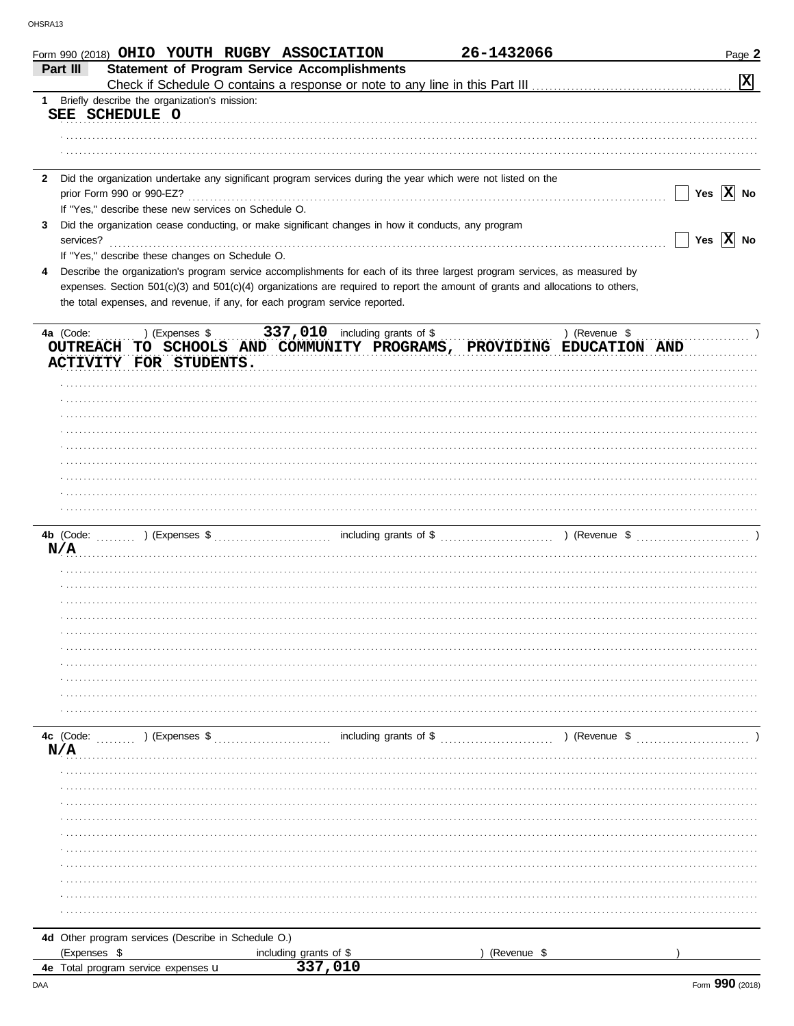|              | Form 990 (2018) OHIO YOUTH RUGBY ASSOCIATION                                                                                   |                                                     | 26-1432066  | Page 2                                        |
|--------------|--------------------------------------------------------------------------------------------------------------------------------|-----------------------------------------------------|-------------|-----------------------------------------------|
|              | Part III                                                                                                                       | <b>Statement of Program Service Accomplishments</b> |             |                                               |
|              |                                                                                                                                |                                                     |             | $\mathbf{x}$                                  |
| 1            | Briefly describe the organization's mission:                                                                                   |                                                     |             |                                               |
|              | SEE SCHEDULE O                                                                                                                 |                                                     |             |                                               |
|              |                                                                                                                                |                                                     |             |                                               |
|              |                                                                                                                                |                                                     |             |                                               |
|              |                                                                                                                                |                                                     |             |                                               |
| $\mathbf{2}$ | Did the organization undertake any significant program services during the year which were not listed on the                   |                                                     |             |                                               |
|              |                                                                                                                                |                                                     |             | Yes $\overline{X}$ No<br>$\vert \ \ \vert$    |
|              | If "Yes," describe these new services on Schedule O.                                                                           |                                                     |             |                                               |
|              |                                                                                                                                |                                                     |             |                                               |
| 3            | Did the organization cease conducting, or make significant changes in how it conducts, any program                             |                                                     |             |                                               |
|              | services?                                                                                                                      |                                                     |             | $Yes \quad \boxed{X}$ No<br>$\vert \ \ \vert$ |
|              | If "Yes," describe these changes on Schedule O.                                                                                |                                                     |             |                                               |
| 4            | Describe the organization's program service accomplishments for each of its three largest program services, as measured by     |                                                     |             |                                               |
|              | expenses. Section 501(c)(3) and 501(c)(4) organizations are required to report the amount of grants and allocations to others, |                                                     |             |                                               |
|              | the total expenses, and revenue, if any, for each program service reported.                                                    |                                                     |             |                                               |
|              |                                                                                                                                |                                                     |             |                                               |
|              | 4a (Code:<br>) (Expenses \$                                                                                                    | 337,010 including grants of \$                      |             | ) (Revenue \$                                 |
|              | OUTREACH TO SCHOOLS AND COMMUNITY PROGRAMS, PROVIDING EDUCATION AND                                                            |                                                     |             |                                               |
|              | ACTIVITY FOR STUDENTS.                                                                                                         |                                                     |             |                                               |
|              |                                                                                                                                |                                                     |             |                                               |
|              |                                                                                                                                |                                                     |             |                                               |
|              |                                                                                                                                |                                                     |             |                                               |
|              |                                                                                                                                |                                                     |             |                                               |
|              |                                                                                                                                |                                                     |             |                                               |
|              |                                                                                                                                |                                                     |             |                                               |
|              |                                                                                                                                |                                                     |             |                                               |
|              |                                                                                                                                |                                                     |             |                                               |
|              |                                                                                                                                |                                                     |             |                                               |
|              |                                                                                                                                |                                                     |             |                                               |
|              |                                                                                                                                |                                                     |             |                                               |
|              | N/A                                                                                                                            |                                                     |             |                                               |
|              |                                                                                                                                |                                                     |             |                                               |
|              |                                                                                                                                |                                                     |             |                                               |
|              |                                                                                                                                |                                                     |             |                                               |
|              |                                                                                                                                |                                                     |             |                                               |
|              |                                                                                                                                |                                                     |             |                                               |
|              |                                                                                                                                |                                                     |             |                                               |
|              |                                                                                                                                |                                                     |             |                                               |
|              |                                                                                                                                |                                                     |             |                                               |
|              |                                                                                                                                |                                                     |             |                                               |
|              |                                                                                                                                |                                                     |             |                                               |
|              |                                                                                                                                |                                                     |             |                                               |
|              |                                                                                                                                |                                                     |             |                                               |
|              |                                                                                                                                |                                                     |             |                                               |
|              | N/A                                                                                                                            |                                                     |             |                                               |
|              |                                                                                                                                |                                                     |             |                                               |
|              |                                                                                                                                |                                                     |             |                                               |
|              |                                                                                                                                |                                                     |             |                                               |
|              |                                                                                                                                |                                                     |             |                                               |
|              |                                                                                                                                |                                                     |             |                                               |
|              |                                                                                                                                |                                                     |             |                                               |
|              |                                                                                                                                |                                                     |             |                                               |
|              |                                                                                                                                |                                                     |             |                                               |
|              |                                                                                                                                |                                                     |             |                                               |
|              |                                                                                                                                |                                                     |             |                                               |
|              |                                                                                                                                |                                                     |             |                                               |
|              |                                                                                                                                |                                                     |             |                                               |
|              | 4d Other program services (Describe in Schedule O.)                                                                            |                                                     |             |                                               |
|              | (Expenses \$                                                                                                                   | including grants of \$                              | (Revenue \$ |                                               |
|              | 4e Total program service expenses u                                                                                            | 337,010                                             |             |                                               |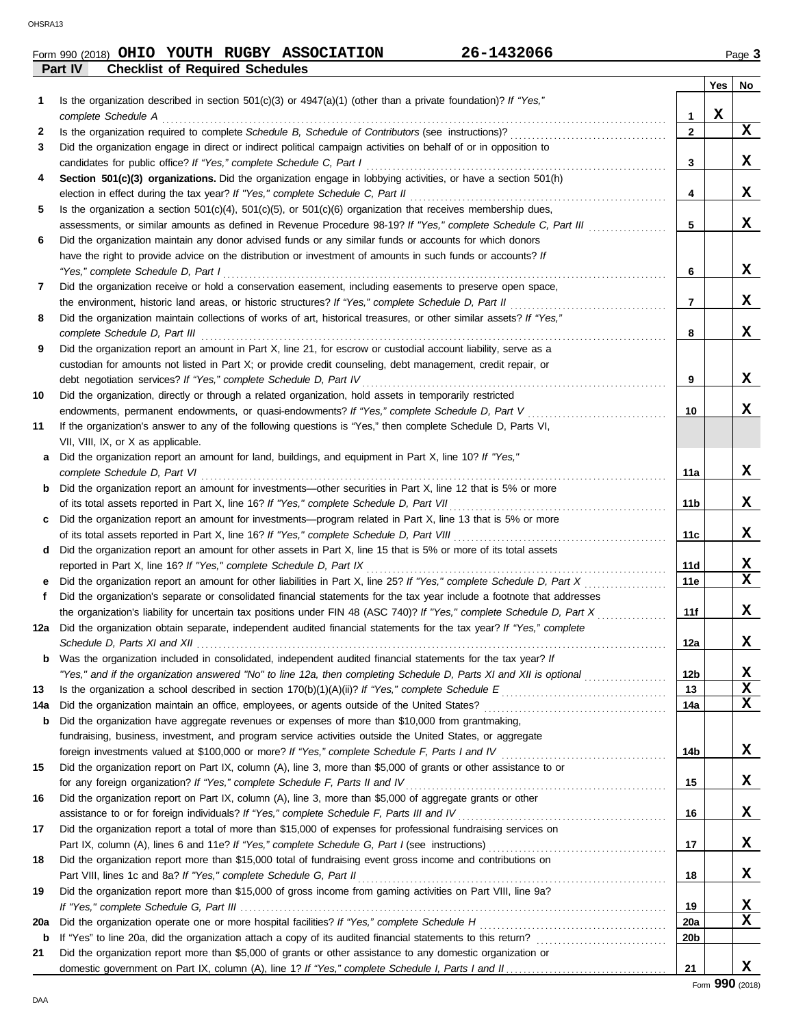# Form 990 (2018) Page **3 OHIO YOUTH RUGBY ASSOCIATION 26-1432066**

**Part IV Checklist of Required Schedules**

|     |                                                                                                                                                                                                                                    |                 | Yes | No.         |
|-----|------------------------------------------------------------------------------------------------------------------------------------------------------------------------------------------------------------------------------------|-----------------|-----|-------------|
| 1   | Is the organization described in section $501(c)(3)$ or $4947(a)(1)$ (other than a private foundation)? If "Yes,"<br>complete Schedule A                                                                                           | 1               | X   |             |
| 2   |                                                                                                                                                                                                                                    | $\mathbf{2}$    |     | X           |
| 3   | Did the organization engage in direct or indirect political campaign activities on behalf of or in opposition to                                                                                                                   |                 |     |             |
|     | candidates for public office? If "Yes," complete Schedule C, Part I                                                                                                                                                                | 3               |     | X           |
| 4   | Section 501(c)(3) organizations. Did the organization engage in lobbying activities, or have a section 501(h)<br>election in effect during the tax year? If "Yes," complete Schedule C, Part II                                    | 4               |     | X           |
| 5   | Is the organization a section $501(c)(4)$ , $501(c)(5)$ , or $501(c)(6)$ organization that receives membership dues,                                                                                                               |                 |     |             |
|     | assessments, or similar amounts as defined in Revenue Procedure 98-19? If "Yes," complete Schedule C, Part III                                                                                                                     | 5               |     | X           |
| 6   | Did the organization maintain any donor advised funds or any similar funds or accounts for which donors                                                                                                                            |                 |     |             |
|     | have the right to provide advice on the distribution or investment of amounts in such funds or accounts? If                                                                                                                        |                 |     |             |
|     | "Yes," complete Schedule D, Part I                                                                                                                                                                                                 | 6               |     | x           |
| 7   | Did the organization receive or hold a conservation easement, including easements to preserve open space,                                                                                                                          |                 |     |             |
|     |                                                                                                                                                                                                                                    | $\overline{7}$  |     | X           |
| 8   | Did the organization maintain collections of works of art, historical treasures, or other similar assets? If "Yes,"                                                                                                                |                 |     |             |
|     | complete Schedule D, Part III                                                                                                                                                                                                      | 8               |     | X           |
| 9   | Did the organization report an amount in Part X, line 21, for escrow or custodial account liability, serve as a                                                                                                                    |                 |     |             |
|     | custodian for amounts not listed in Part X; or provide credit counseling, debt management, credit repair, or                                                                                                                       |                 |     |             |
|     | debt negotiation services? If "Yes," complete Schedule D, Part IV                                                                                                                                                                  | 9               |     | x           |
| 10  | Did the organization, directly or through a related organization, hold assets in temporarily restricted                                                                                                                            |                 |     |             |
|     | endowments, permanent endowments, or quasi-endowments? If "Yes," complete Schedule D, Part V                                                                                                                                       | 10              |     | x           |
| 11  | If the organization's answer to any of the following questions is "Yes," then complete Schedule D, Parts VI,                                                                                                                       |                 |     |             |
|     | VII, VIII, IX, or X as applicable.                                                                                                                                                                                                 |                 |     |             |
| a   | Did the organization report an amount for land, buildings, and equipment in Part X, line 10? If "Yes,"                                                                                                                             |                 |     |             |
|     | complete Schedule D, Part VI                                                                                                                                                                                                       | 11a             |     | X           |
| b   | Did the organization report an amount for investments—other securities in Part X, line 12 that is 5% or more                                                                                                                       |                 |     |             |
|     | of its total assets reported in Part X, line 16? If "Yes," complete Schedule D, Part VII                                                                                                                                           | 11b             |     | X           |
|     | Did the organization report an amount for investments—program related in Part X, line 13 that is 5% or more                                                                                                                        |                 |     | X           |
| d   | of its total assets reported in Part X, line 16? If "Yes," complete Schedule D, Part VIII [[[[[[[[[[[[[[[[[[[[<br>Did the organization report an amount for other assets in Part X, line 15 that is 5% or more of its total assets | 11c             |     |             |
|     | reported in Part X, line 16? If "Yes," complete Schedule D, Part IX                                                                                                                                                                | 11d             |     | X           |
|     | Did the organization report an amount for other liabilities in Part X, line 25? If "Yes," complete Schedule D, Part X                                                                                                              | 11e             |     | $\mathbf x$ |
| f   | Did the organization's separate or consolidated financial statements for the tax year include a footnote that addresses                                                                                                            |                 |     |             |
|     | the organization's liability for uncertain tax positions under FIN 48 (ASC 740)? If "Yes," complete Schedule D, Part X                                                                                                             | 11f             |     | х           |
| 12a | Did the organization obtain separate, independent audited financial statements for the tax year? If "Yes," complete                                                                                                                |                 |     |             |
|     | Schedule D, Parts XI and XII                                                                                                                                                                                                       | 12a             |     | X           |
|     | Was the organization included in consolidated, independent audited financial statements for the tax year? If                                                                                                                       |                 |     |             |
|     | "Yes," and if the organization answered "No" to line 12a, then completing Schedule D, Parts XI and XII is optional                                                                                                                 | 12 <sub>b</sub> |     | х           |
| 13  |                                                                                                                                                                                                                                    | 13              |     | $\mathbf x$ |
| 14a | Did the organization maintain an office, employees, or agents outside of the United States?                                                                                                                                        | 14a             |     | $\mathbf X$ |
| b   | Did the organization have aggregate revenues or expenses of more than \$10,000 from grantmaking,                                                                                                                                   |                 |     |             |
|     | fundraising, business, investment, and program service activities outside the United States, or aggregate                                                                                                                          |                 |     |             |
|     | foreign investments valued at \$100,000 or more? If "Yes," complete Schedule F, Parts I and IV [[[[[[[[[[[[[[[                                                                                                                     | 14b             |     | X           |
| 15  | Did the organization report on Part IX, column (A), line 3, more than \$5,000 of grants or other assistance to or                                                                                                                  |                 |     |             |
|     | for any foreign organization? If "Yes," complete Schedule F, Parts II and IV [[[[[[[[[[[[[[[[[[[[[[[[[[[[[[[[                                                                                                                      | 15              |     | X           |
| 16  | Did the organization report on Part IX, column (A), line 3, more than \$5,000 of aggregate grants or other                                                                                                                         |                 |     |             |
|     | assistance to or for foreign individuals? If "Yes," complete Schedule F, Parts III and IV [[[[[[[[[[[[[[[[[[[                                                                                                                      | 16              |     | X           |
| 17  | Did the organization report a total of more than \$15,000 of expenses for professional fundraising services on                                                                                                                     |                 |     |             |
|     | Part IX, column (A), lines 6 and 11e? If "Yes," complete Schedule G, Part I (see instructions) [[[[[[[[[[[[[[                                                                                                                      | 17              |     | X,          |
| 18  | Did the organization report more than \$15,000 total of fundraising event gross income and contributions on                                                                                                                        | 18              |     | X.          |
| 19  | Part VIII, lines 1c and 8a? If "Yes," complete Schedule G, Part II<br>Did the organization report more than \$15,000 of gross income from gaming activities on Part VIII, line 9a?                                                 |                 |     |             |
|     |                                                                                                                                                                                                                                    | 19              |     | X           |
| 20a |                                                                                                                                                                                                                                    | 20a             |     | x           |
| b   |                                                                                                                                                                                                                                    | 20 <sub>b</sub> |     |             |
| 21  | Did the organization report more than \$5,000 of grants or other assistance to any domestic organization or                                                                                                                        |                 |     |             |
|     |                                                                                                                                                                                                                                    | 21              |     | X.          |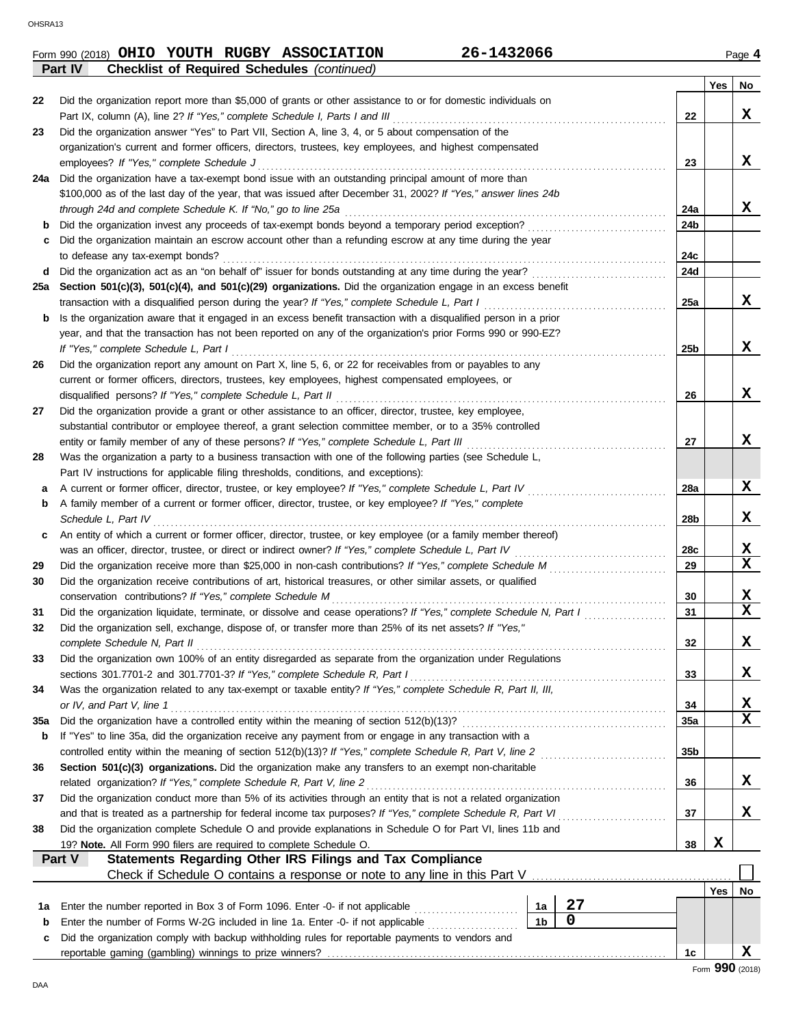|        | Part IV<br><b>Checklist of Required Schedules (continued)</b>                                                                                                                                         |                 |     |             |
|--------|-------------------------------------------------------------------------------------------------------------------------------------------------------------------------------------------------------|-----------------|-----|-------------|
|        |                                                                                                                                                                                                       |                 | Yes | No          |
| 22     | Did the organization report more than \$5,000 of grants or other assistance to or for domestic individuals on                                                                                         |                 |     |             |
|        | Part IX, column (A), line 2? If "Yes," complete Schedule I, Parts I and III                                                                                                                           | 22              |     | x           |
| 23     | Did the organization answer "Yes" to Part VII, Section A, line 3, 4, or 5 about compensation of the                                                                                                   |                 |     |             |
|        | organization's current and former officers, directors, trustees, key employees, and highest compensated                                                                                               |                 |     |             |
|        | employees? If "Yes," complete Schedule J                                                                                                                                                              | 23              |     | x           |
| 24a    | Did the organization have a tax-exempt bond issue with an outstanding principal amount of more than                                                                                                   |                 |     |             |
|        | \$100,000 as of the last day of the year, that was issued after December 31, 2002? If "Yes," answer lines 24b                                                                                         |                 |     |             |
|        | through 24d and complete Schedule K. If "No," go to line 25a                                                                                                                                          | 24a             |     | x           |
| b      |                                                                                                                                                                                                       | 24b             |     |             |
| c      | Did the organization maintain an escrow account other than a refunding escrow at any time during the year                                                                                             |                 |     |             |
|        | to defease any tax-exempt bonds?                                                                                                                                                                      | 24c             |     |             |
| d      |                                                                                                                                                                                                       | 24d             |     |             |
| 25a    | Section 501(c)(3), 501(c)(4), and 501(c)(29) organizations. Did the organization engage in an excess benefit                                                                                          |                 |     |             |
|        | transaction with a disqualified person during the year? If "Yes," complete Schedule L, Part I                                                                                                         | 25a             |     | x           |
| b      | Is the organization aware that it engaged in an excess benefit transaction with a disqualified person in a prior                                                                                      |                 |     |             |
|        | year, and that the transaction has not been reported on any of the organization's prior Forms 990 or 990-EZ?                                                                                          |                 |     |             |
|        | If "Yes," complete Schedule L, Part I                                                                                                                                                                 | 25 <sub>b</sub> |     | x           |
| 26     | Did the organization report any amount on Part X, line 5, 6, or 22 for receivables from or payables to any                                                                                            |                 |     |             |
|        | current or former officers, directors, trustees, key employees, highest compensated employees, or                                                                                                     |                 |     | X           |
|        | disqualified persons? If "Yes," complete Schedule L, Part II                                                                                                                                          | 26              |     |             |
| 27     | Did the organization provide a grant or other assistance to an officer, director, trustee, key employee,                                                                                              |                 |     |             |
|        | substantial contributor or employee thereof, a grant selection committee member, or to a 35% controlled                                                                                               |                 |     | X           |
| 28     | entity or family member of any of these persons? If "Yes," complete Schedule L, Part III<br>Was the organization a party to a business transaction with one of the following parties (see Schedule L, | 27              |     |             |
|        | Part IV instructions for applicable filing thresholds, conditions, and exceptions):                                                                                                                   |                 |     |             |
|        | A current or former officer, director, trustee, or key employee? If "Yes," complete Schedule L, Part IV                                                                                               | 28a             |     | X           |
| а<br>b | A family member of a current or former officer, director, trustee, or key employee? If "Yes," complete                                                                                                |                 |     |             |
|        | Schedule L, Part IV                                                                                                                                                                                   | 28b             |     | X           |
| c      | An entity of which a current or former officer, director, trustee, or key employee (or a family member thereof)                                                                                       |                 |     |             |
|        | was an officer, director, trustee, or direct or indirect owner? If "Yes," complete Schedule L, Part IV                                                                                                | 28c             |     | X           |
| 29     |                                                                                                                                                                                                       | 29              |     | $\mathbf x$ |
| 30     | Did the organization receive contributions of art, historical treasures, or other similar assets, or qualified                                                                                        |                 |     |             |
|        | conservation contributions? If "Yes," complete Schedule M                                                                                                                                             | 30              |     | X           |
| 31     | Did the organization liquidate, terminate, or dissolve and cease operations? If "Yes," complete Schedule N, Part I                                                                                    | 31              |     | $\mathbf x$ |
| 32     | Did the organization sell, exchange, dispose of, or transfer more than 25% of its net assets? If "Yes,"                                                                                               |                 |     |             |
|        | complete Schedule N, Part II                                                                                                                                                                          | 32              |     | х           |
| 33     | Did the organization own 100% of an entity disregarded as separate from the organization under Regulations                                                                                            |                 |     |             |
|        | sections 301.7701-2 and 301.7701-3? If "Yes," complete Schedule R, Part I                                                                                                                             | 33              |     | X           |
| 34     | Was the organization related to any tax-exempt or taxable entity? If "Yes," complete Schedule R, Part II, III,                                                                                        |                 |     |             |
|        | or IV, and Part V, line 1                                                                                                                                                                             | 34              |     | X           |
| 35a    |                                                                                                                                                                                                       | 35a             |     | X           |
| b      | If "Yes" to line 35a, did the organization receive any payment from or engage in any transaction with a                                                                                               |                 |     |             |
|        |                                                                                                                                                                                                       | 35 <sub>b</sub> |     |             |
| 36     | Section 501(c)(3) organizations. Did the organization make any transfers to an exempt non-charitable                                                                                                  |                 |     |             |
|        |                                                                                                                                                                                                       | 36              |     | X           |
| 37     | Did the organization conduct more than 5% of its activities through an entity that is not a related organization                                                                                      |                 |     |             |
|        | and that is treated as a partnership for federal income tax purposes? If "Yes," complete Schedule R, Part VI                                                                                          | 37              |     | X           |
| 38     | Did the organization complete Schedule O and provide explanations in Schedule O for Part VI, lines 11b and                                                                                            |                 |     |             |
|        | 19? Note. All Form 990 filers are required to complete Schedule O.                                                                                                                                    | 38              | X   |             |
|        | <b>Statements Regarding Other IRS Filings and Tax Compliance</b><br>Part V                                                                                                                            |                 |     |             |
|        | Check if Schedule O contains a response or note to any line in this Part V                                                                                                                            |                 |     |             |
|        |                                                                                                                                                                                                       |                 | Yes | No          |
| 1а     | 27<br>Enter the number reported in Box 3 of Form 1096. Enter -0- if not applicable<br>1a                                                                                                              |                 |     |             |
| b      | 0<br>1 <sub>b</sub><br>Enter the number of Forms W-2G included in line 1a. Enter -0- if not applicable                                                                                                |                 |     |             |

| Did the organization comply with backup withholding rules for reportable payments to vendors and |  |  |  |  |  |  |  |  |
|--------------------------------------------------------------------------------------------------|--|--|--|--|--|--|--|--|
|                                                                                                  |  |  |  |  |  |  |  |  |

**X**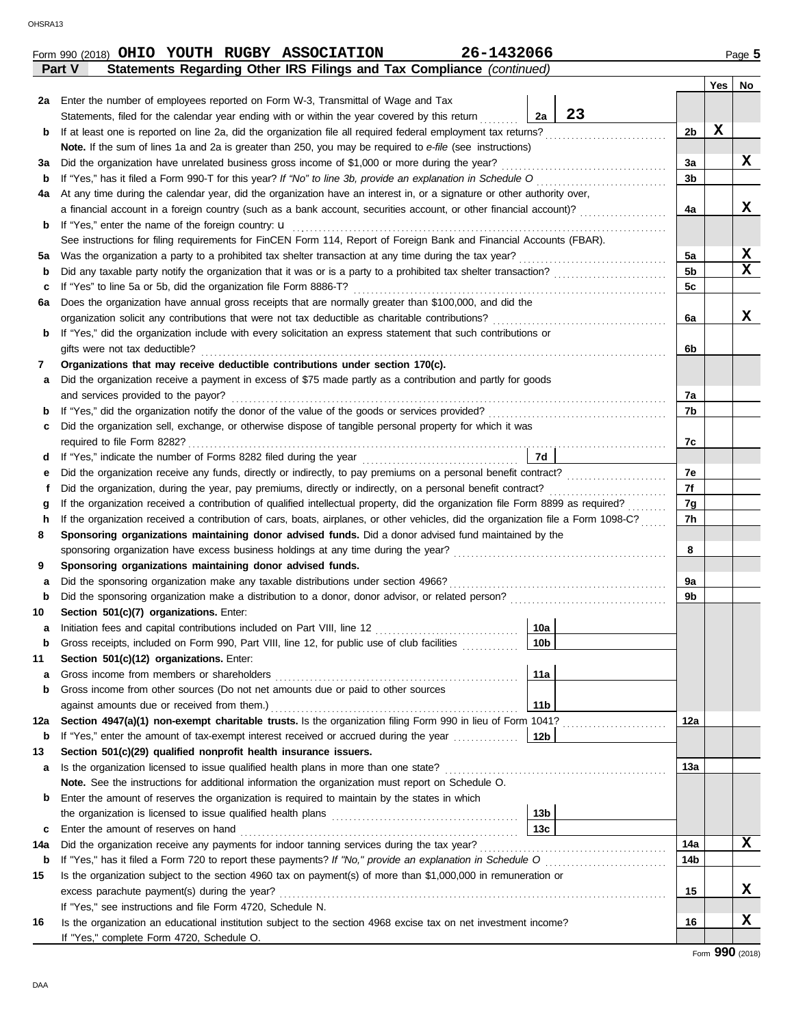| 2a      | Enter the number of employees reported on Form W-3, Transmittal of Wage and Tax                                                                                               |                        |    |                      |   |        |  |  |  |  |  |
|---------|-------------------------------------------------------------------------------------------------------------------------------------------------------------------------------|------------------------|----|----------------------|---|--------|--|--|--|--|--|
|         | Statements, filed for the calendar year ending with or within the year covered by this return                                                                                 | 2a                     | 23 |                      |   |        |  |  |  |  |  |
| b       |                                                                                                                                                                               |                        |    | 2b                   | х |        |  |  |  |  |  |
|         | Note. If the sum of lines 1a and 2a is greater than 250, you may be required to e-file (see instructions)                                                                     |                        |    |                      |   |        |  |  |  |  |  |
| За      | Did the organization have unrelated business gross income of \$1,000 or more during the year?                                                                                 |                        |    | За                   |   | x      |  |  |  |  |  |
| b       |                                                                                                                                                                               |                        |    | 3b                   |   |        |  |  |  |  |  |
| 4a      | At any time during the calendar year, did the organization have an interest in, or a signature or other authority over,                                                       |                        |    |                      |   |        |  |  |  |  |  |
|         | a financial account in a foreign country (such as a bank account, securities account, or other financial account)?                                                            |                        |    | 4a                   |   | X      |  |  |  |  |  |
| b       | If "Yes," enter the name of the foreign country: <b>u</b>                                                                                                                     |                        |    |                      |   |        |  |  |  |  |  |
|         | See instructions for filing requirements for FinCEN Form 114, Report of Foreign Bank and Financial Accounts (FBAR).                                                           |                        |    |                      |   |        |  |  |  |  |  |
| 5a      |                                                                                                                                                                               |                        |    | 5a<br>5 <sub>b</sub> |   | X<br>X |  |  |  |  |  |
| b       |                                                                                                                                                                               |                        |    |                      |   |        |  |  |  |  |  |
| c       | If "Yes" to line 5a or 5b, did the organization file Form 8886-T?                                                                                                             |                        |    |                      |   |        |  |  |  |  |  |
| 6а      | Does the organization have annual gross receipts that are normally greater than \$100,000, and did the                                                                        |                        |    |                      |   |        |  |  |  |  |  |
|         | organization solicit any contributions that were not tax deductible as charitable contributions?                                                                              |                        |    | 6a                   |   | X      |  |  |  |  |  |
| b       | If "Yes," did the organization include with every solicitation an express statement that such contributions or                                                                |                        |    |                      |   |        |  |  |  |  |  |
|         | gifts were not tax deductible?                                                                                                                                                |                        |    | 6b                   |   |        |  |  |  |  |  |
| 7       | Organizations that may receive deductible contributions under section 170(c).                                                                                                 |                        |    |                      |   |        |  |  |  |  |  |
| а       | Did the organization receive a payment in excess of \$75 made partly as a contribution and partly for goods                                                                   |                        |    |                      |   |        |  |  |  |  |  |
|         | and services provided to the payor?                                                                                                                                           |                        |    | 7a                   |   |        |  |  |  |  |  |
| b       |                                                                                                                                                                               |                        |    | 7b                   |   |        |  |  |  |  |  |
| c       | Did the organization sell, exchange, or otherwise dispose of tangible personal property for which it was                                                                      |                        |    |                      |   |        |  |  |  |  |  |
|         |                                                                                                                                                                               |                        |    | 7c                   |   |        |  |  |  |  |  |
| d       |                                                                                                                                                                               | 7d                     |    |                      |   |        |  |  |  |  |  |
| е       |                                                                                                                                                                               |                        |    | 7e                   |   |        |  |  |  |  |  |
|         |                                                                                                                                                                               |                        |    | 7f                   |   |        |  |  |  |  |  |
| g       | If the organization received a contribution of qualified intellectual property, did the organization file Form 8899 as required?                                              |                        |    | 7g                   |   |        |  |  |  |  |  |
| h       | If the organization received a contribution of cars, boats, airplanes, or other vehicles, did the organization file a Form 1098-C?                                            |                        |    | 7h                   |   |        |  |  |  |  |  |
| 8       | Sponsoring organizations maintaining donor advised funds. Did a donor advised fund maintained by the                                                                          |                        |    |                      |   |        |  |  |  |  |  |
|         |                                                                                                                                                                               |                        |    | 8                    |   |        |  |  |  |  |  |
| 9       | Sponsoring organizations maintaining donor advised funds.                                                                                                                     |                        |    |                      |   |        |  |  |  |  |  |
| а       | Did the sponsoring organization make any taxable distributions under section 4966?                                                                                            |                        |    | 9a                   |   |        |  |  |  |  |  |
| b       |                                                                                                                                                                               |                        |    | 9b                   |   |        |  |  |  |  |  |
| 10      | Section 501(c)(7) organizations. Enter:                                                                                                                                       |                        |    |                      |   |        |  |  |  |  |  |
| а       |                                                                                                                                                                               | 10a<br>10 <sub>b</sub> |    |                      |   |        |  |  |  |  |  |
| b       | Gross receipts, included on Form 990, Part VIII, line 12, for public use of club facilities                                                                                   |                        |    |                      |   |        |  |  |  |  |  |
| 11<br>а | Section 501(c)(12) organizations. Enter:<br>Gross income from members or shareholders                                                                                         | 11a                    |    |                      |   |        |  |  |  |  |  |
| b       | Gross income from other sources (Do not net amounts due or paid to other sources                                                                                              |                        |    |                      |   |        |  |  |  |  |  |
|         |                                                                                                                                                                               | 11b                    |    |                      |   |        |  |  |  |  |  |
| 12a     | Section 4947(a)(1) non-exempt charitable trusts. Is the organization filing Form 990 in lieu of Form 1041?                                                                    |                        |    | 12a                  |   |        |  |  |  |  |  |
| b       | If "Yes," enter the amount of tax-exempt interest received or accrued during the year                                                                                         | 12b                    |    |                      |   |        |  |  |  |  |  |
| 13      | Section 501(c)(29) qualified nonprofit health insurance issuers.                                                                                                              |                        |    |                      |   |        |  |  |  |  |  |
| а       | Is the organization licensed to issue qualified health plans in more than one state?                                                                                          |                        |    | 13а                  |   |        |  |  |  |  |  |
|         | Note. See the instructions for additional information the organization must report on Schedule O.                                                                             |                        |    |                      |   |        |  |  |  |  |  |
| b       | Enter the amount of reserves the organization is required to maintain by the states in which                                                                                  |                        |    |                      |   |        |  |  |  |  |  |
|         |                                                                                                                                                                               | 13 <sub>b</sub>        |    |                      |   |        |  |  |  |  |  |
| c       |                                                                                                                                                                               | 13c                    |    |                      |   |        |  |  |  |  |  |
| 14a     |                                                                                                                                                                               |                        |    | 14a                  |   | X      |  |  |  |  |  |
| b       |                                                                                                                                                                               |                        |    | 14 <sub>b</sub>      |   |        |  |  |  |  |  |
|         | Is the organization subject to the section 4960 tax on payment(s) of more than \$1,000,000 in remuneration or                                                                 |                        |    |                      |   |        |  |  |  |  |  |
|         |                                                                                                                                                                               |                        |    | 15                   |   | х      |  |  |  |  |  |
| 15      |                                                                                                                                                                               |                        |    |                      |   |        |  |  |  |  |  |
|         |                                                                                                                                                                               |                        |    |                      |   |        |  |  |  |  |  |
| 16      | If "Yes," see instructions and file Form 4720, Schedule N.<br>Is the organization an educational institution subject to the section 4968 excise tax on net investment income? |                        |    | 16                   |   | x      |  |  |  |  |  |

**Statements Regarding Other IRS Filings and Tax Compliance** (continued)

**Yes No**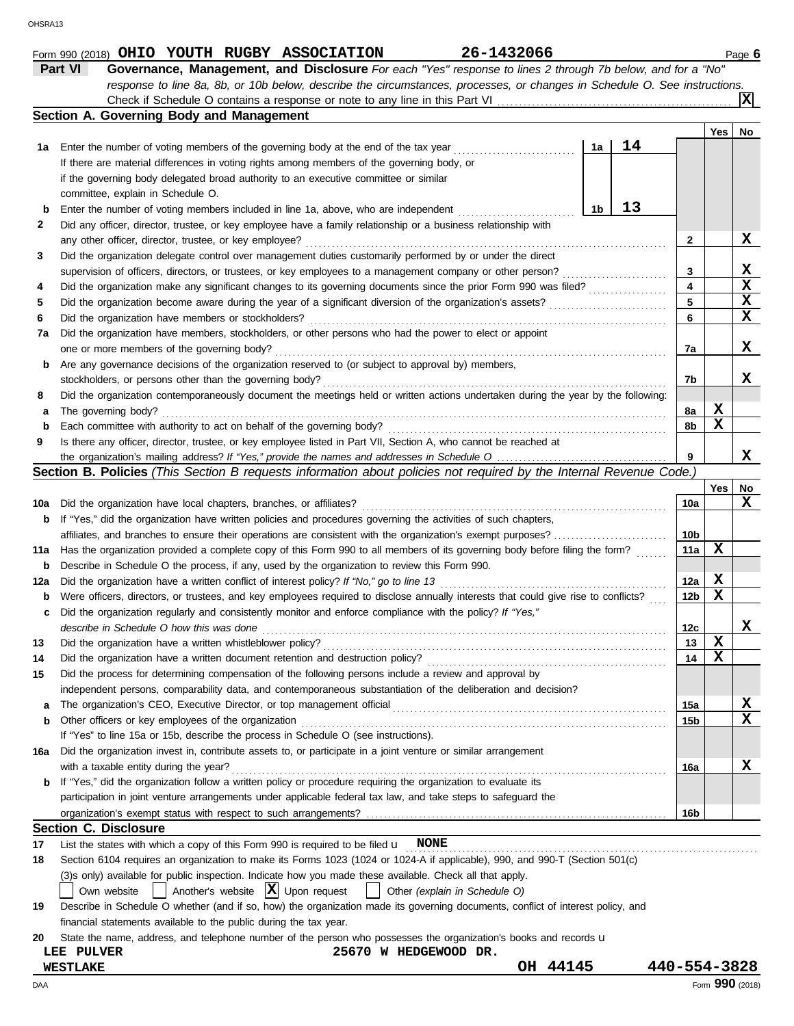|             | Part VI<br>Governance, Management, and Disclosure For each "Yes" response to lines 2 through 7b below, and for a "No"                                                                                     |    |    |                 |                 |                  |  |  |  |
|-------------|-----------------------------------------------------------------------------------------------------------------------------------------------------------------------------------------------------------|----|----|-----------------|-----------------|------------------|--|--|--|
|             | response to line 8a, 8b, or 10b below, describe the circumstances, processes, or changes in Schedule O. See instructions.                                                                                 |    |    |                 |                 |                  |  |  |  |
|             | Check if Schedule O contains a response or note to any line in this Part VI.<br>Section A. Governing Body and Management                                                                                  |    |    |                 |                 |                  |  |  |  |
|             |                                                                                                                                                                                                           |    |    |                 | Yes             | No               |  |  |  |
| 1а          | Enter the number of voting members of the governing body at the end of the tax year                                                                                                                       | 1a | 14 |                 |                 |                  |  |  |  |
|             | If there are material differences in voting rights among members of the governing body, or                                                                                                                |    |    |                 |                 |                  |  |  |  |
|             | if the governing body delegated broad authority to an executive committee or similar                                                                                                                      |    |    |                 |                 |                  |  |  |  |
|             | committee, explain in Schedule O.                                                                                                                                                                         |    |    |                 |                 |                  |  |  |  |
| $\mathbf b$ | Enter the number of voting members included in line 1a, above, who are independent                                                                                                                        | 1b | 13 |                 |                 |                  |  |  |  |
| 2           | Did any officer, director, trustee, or key employee have a family relationship or a business relationship with                                                                                            |    |    |                 |                 |                  |  |  |  |
|             | any other officer, director, trustee, or key employee?                                                                                                                                                    |    |    | 2               |                 | X                |  |  |  |
| 3           | Did the organization delegate control over management duties customarily performed by or under the direct                                                                                                 |    |    | 3               |                 | X                |  |  |  |
|             | supervision of officers, directors, or trustees, or key employees to a management company or other person?                                                                                                |    |    |                 |                 |                  |  |  |  |
| 4           | Did the organization make any significant changes to its governing documents since the prior Form 990 was filed?                                                                                          |    |    | 4<br>5          |                 | $\mathbf x$<br>X |  |  |  |
| 5<br>6      | Did the organization become aware during the year of a significant diversion of the organization's assets?<br>Did the organization have members or stockholders?                                          |    |    | 6               |                 | X                |  |  |  |
| 7a          | Did the organization have members, stockholders, or other persons who had the power to elect or appoint                                                                                                   | .  |    |                 |                 |                  |  |  |  |
|             | one or more members of the governing body?                                                                                                                                                                |    |    | 7a              |                 | X                |  |  |  |
| b           | Are any governance decisions of the organization reserved to (or subject to approval by) members,                                                                                                         |    |    |                 |                 |                  |  |  |  |
|             | stockholders, or persons other than the governing body?                                                                                                                                                   |    |    | 7b              |                 | X                |  |  |  |
| 8           | Did the organization contemporaneously document the meetings held or written actions undertaken during the year by the following:                                                                         |    |    |                 |                 |                  |  |  |  |
| а           | The governing body?                                                                                                                                                                                       |    |    | 8a              | X               |                  |  |  |  |
| $\mathbf b$ | Each committee with authority to act on behalf of the governing body?                                                                                                                                     |    |    | 8b              | X               |                  |  |  |  |
| 9           | Is there any officer, director, trustee, or key employee listed in Part VII, Section A, who cannot be reached at                                                                                          |    |    |                 |                 |                  |  |  |  |
|             |                                                                                                                                                                                                           |    |    | 9               |                 | x                |  |  |  |
|             | Section B. Policies (This Section B requests information about policies not required by the Internal Revenue Code.)                                                                                       |    |    |                 |                 |                  |  |  |  |
| 10a         | Did the organization have local chapters, branches, or affiliates?                                                                                                                                        |    |    | 10a             | Yes             | No<br>х          |  |  |  |
| b           | If "Yes," did the organization have written policies and procedures governing the activities of such chapters,                                                                                            |    |    |                 |                 |                  |  |  |  |
|             | affiliates, and branches to ensure their operations are consistent with the organization's exempt purposes?                                                                                               |    |    | 10b             |                 |                  |  |  |  |
| 11a         | Has the organization provided a complete copy of this Form 990 to all members of its governing body before filing the form?                                                                               |    |    | 11a             | X               |                  |  |  |  |
| b           | Describe in Schedule O the process, if any, used by the organization to review this Form 990.                                                                                                             |    |    |                 |                 |                  |  |  |  |
| 12a         | Did the organization have a written conflict of interest policy? If "No," go to line 13                                                                                                                   |    |    | 12a             | X               |                  |  |  |  |
| b           | Were officers, directors, or trustees, and key employees required to disclose annually interests that could give rise to conflicts?                                                                       |    |    | 12 <sub>b</sub> | X               |                  |  |  |  |
| c           | Did the organization regularly and consistently monitor and enforce compliance with the policy? If "Yes,"                                                                                                 |    |    |                 |                 |                  |  |  |  |
|             | describe in Schedule O how this was done                                                                                                                                                                  |    |    | 12c             |                 | х                |  |  |  |
| 13          | Did the organization have a written whistleblower policy?                                                                                                                                                 |    |    | 13              | X               |                  |  |  |  |
| 14          | Did the organization have a written document retention and destruction policy?                                                                                                                            |    |    | 14              | X               |                  |  |  |  |
| 15          | Did the process for determining compensation of the following persons include a review and approval by                                                                                                    |    |    |                 |                 |                  |  |  |  |
| а           | independent persons, comparability data, and contemporaneous substantiation of the deliberation and decision?                                                                                             |    |    | 15a             |                 | х                |  |  |  |
| b           | Other officers or key employees of the organization                                                                                                                                                       |    |    | 15b             |                 | X                |  |  |  |
|             | If "Yes" to line 15a or 15b, describe the process in Schedule O (see instructions).                                                                                                                       |    |    |                 |                 |                  |  |  |  |
| 16a         | Did the organization invest in, contribute assets to, or participate in a joint venture or similar arrangement                                                                                            |    |    |                 |                 |                  |  |  |  |
|             | with a taxable entity during the year?                                                                                                                                                                    |    |    | 16a             |                 | X                |  |  |  |
| b           | If "Yes," did the organization follow a written policy or procedure requiring the organization to evaluate its                                                                                            |    |    |                 |                 |                  |  |  |  |
|             | participation in joint venture arrangements under applicable federal tax law, and take steps to safeguard the                                                                                             |    |    |                 |                 |                  |  |  |  |
|             |                                                                                                                                                                                                           |    |    | 16b             |                 |                  |  |  |  |
|             | <b>Section C. Disclosure</b>                                                                                                                                                                              |    |    |                 |                 |                  |  |  |  |
| 17          | List the states with which a copy of this Form 990 is required to be filed $\mathbf{u}$ NONE                                                                                                              |    |    |                 |                 |                  |  |  |  |
| 18          | Section 6104 requires an organization to make its Forms 1023 (1024 or 1024-A if applicable), 990, and 990-T (Section 501(c)                                                                               |    |    |                 |                 |                  |  |  |  |
|             | (3)s only) available for public inspection. Indicate how you made these available. Check all that apply.<br>Another's website $ \mathbf{X} $ Upon request<br>Own website<br>Other (explain in Schedule O) |    |    |                 |                 |                  |  |  |  |
| 19          | Describe in Schedule O whether (and if so, how) the organization made its governing documents, conflict of interest policy, and                                                                           |    |    |                 |                 |                  |  |  |  |
|             | financial statements available to the public during the tax year.                                                                                                                                         |    |    |                 |                 |                  |  |  |  |
| 20          | State the name, address, and telephone number of the person who possesses the organization's books and records u                                                                                          |    |    |                 |                 |                  |  |  |  |
|             | 25670 W HEDGEWOOD DR.<br>LEE PULVER                                                                                                                                                                       |    |    |                 |                 |                  |  |  |  |
|             | OH 44145<br><b>WESTLAKE</b>                                                                                                                                                                               |    |    | 440-554-3828    |                 |                  |  |  |  |
| DAA         |                                                                                                                                                                                                           |    |    |                 | Form 990 (2018) |                  |  |  |  |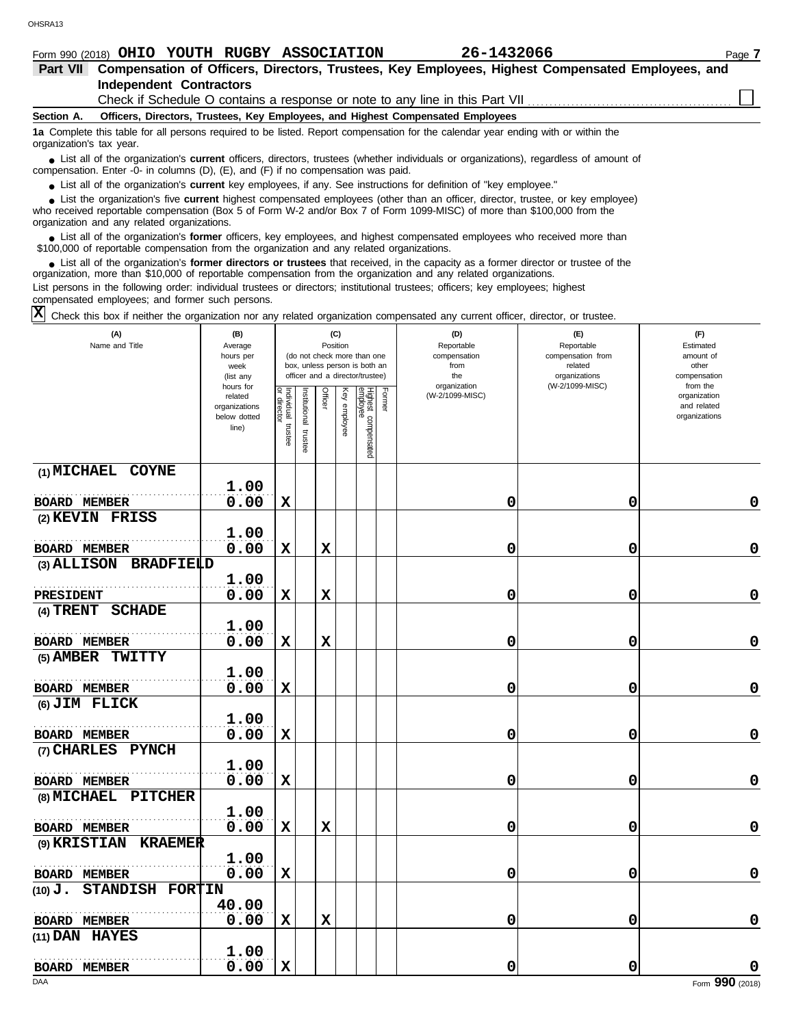|                          | Form 990 (2018) OHIO YOUTH RUGBY ASSOCIATION                                                     |  |                                                                                           | 26-1432066                                                                                                                                                                                                                                                  | Page 7 |  |  |  |  |  |  |  |
|--------------------------|--------------------------------------------------------------------------------------------------|--|-------------------------------------------------------------------------------------------|-------------------------------------------------------------------------------------------------------------------------------------------------------------------------------------------------------------------------------------------------------------|--------|--|--|--|--|--|--|--|
| Part VII                 | Compensation of Officers, Directors, Trustees, Key Employees, Highest Compensated Employees, and |  |                                                                                           |                                                                                                                                                                                                                                                             |        |  |  |  |  |  |  |  |
|                          | Independent Contractors                                                                          |  |                                                                                           |                                                                                                                                                                                                                                                             |        |  |  |  |  |  |  |  |
|                          | Check if Schedule O contains a response or note to any line in this Part VII                     |  |                                                                                           |                                                                                                                                                                                                                                                             |        |  |  |  |  |  |  |  |
| Section A.               |                                                                                                  |  | Officers, Directors, Trustees, Key Employees, and Highest Compensated Employees           |                                                                                                                                                                                                                                                             |        |  |  |  |  |  |  |  |
| organization's tax year. |                                                                                                  |  |                                                                                           | 1a Complete this table for all persons required to be listed. Report compensation for the calendar year ending with or within the                                                                                                                           |        |  |  |  |  |  |  |  |
|                          |                                                                                                  |  | compensation. Enter -0- in columns $(D)$ , $(E)$ , and $(F)$ if no compensation was paid. | • List all of the organization's current officers, directors, trustees (whether individuals or organizations), regardless of amount of                                                                                                                      |        |  |  |  |  |  |  |  |
|                          |                                                                                                  |  |                                                                                           | • List all of the organization's current key employees, if any. See instructions for definition of "key employee."                                                                                                                                          |        |  |  |  |  |  |  |  |
|                          |                                                                                                  |  |                                                                                           | • List the organization's five current highest compensated employees (other than an officer, director, trustee, or key employee)<br>who received reportable componention (Rev 5 of Ferm W 2 and/or Rev 7 of Ferm 1000 MISC) of more than \$100,000 from the |        |  |  |  |  |  |  |  |

who received reportable compensation (Box 5 of Form W-2 and/or Box 7 of Form 1099-MISC) of more than \$100,000 from the organization and any related organizations.

■ List all of the organization's **former** officers, key employees, and highest compensated employees who received more than<br>00,000 of reportable compensation from the organization and any related organizations \$100,000 of reportable compensation from the organization and any related organizations.

■ List all of the organization's **former directors or trustees** that received, in the capacity as a former director or trustee of the<br>enization more than \$10,000 of reportable compensation from the organization and any re organization, more than \$10,000 of reportable compensation from the organization and any related organizations. List persons in the following order: individual trustees or directors; institutional trustees; officers; key employees; highest

compensated employees; and former such persons.

 $\overline{X}$  Check this box if neither the organization nor any related organization compensated any current officer, director, or trustee.

| (A)<br>Name and Title                 | (B)<br>Average<br>hours per<br>week<br>(list any               |                                      |                       |             | (C)<br>Position | (do not check more than one<br>box, unless person is both an<br>officer and a director/trustee) |        | (D)<br>Reportable<br>compensation<br>from<br>the | (E)<br>Reportable<br>compensation from<br>related<br>organizations | (F)<br>Estimated<br>amount of<br>other<br>compensation   |
|---------------------------------------|----------------------------------------------------------------|--------------------------------------|-----------------------|-------------|-----------------|-------------------------------------------------------------------------------------------------|--------|--------------------------------------------------|--------------------------------------------------------------------|----------------------------------------------------------|
|                                       | hours for<br>related<br>organizations<br>below dotted<br>line) | Individual<br>or director<br>trustee | Institutional trustee | Officer     | Key employee    | Highest compensated<br>employee                                                                 | Former | organization<br>(W-2/1099-MISC)                  | (W-2/1099-MISC)                                                    | from the<br>organization<br>and related<br>organizations |
| (1) MICHAEL COYNE                     |                                                                |                                      |                       |             |                 |                                                                                                 |        |                                                  |                                                                    |                                                          |
|                                       | 1.00                                                           |                                      |                       |             |                 |                                                                                                 |        |                                                  |                                                                    |                                                          |
| <b>BOARD MEMBER</b>                   | 0.00                                                           | $\mathbf x$                          |                       |             |                 |                                                                                                 |        | 0                                                | 0                                                                  | 0                                                        |
| (2) KEVIN FRISS                       |                                                                |                                      |                       |             |                 |                                                                                                 |        |                                                  |                                                                    |                                                          |
|                                       | 1.00                                                           |                                      |                       |             |                 |                                                                                                 |        |                                                  |                                                                    |                                                          |
| <b>BOARD MEMBER</b>                   | 0.00                                                           | $\mathbf x$                          |                       | X           |                 |                                                                                                 |        | 0                                                | 0                                                                  | 0                                                        |
| (3) ALLISON BRADFIELD                 |                                                                |                                      |                       |             |                 |                                                                                                 |        |                                                  |                                                                    |                                                          |
|                                       | 1.00                                                           |                                      |                       |             |                 |                                                                                                 |        |                                                  |                                                                    |                                                          |
| <b>PRESIDENT</b>                      | 0.00                                                           | $\mathbf x$                          |                       | $\mathbf x$ |                 |                                                                                                 |        | 0                                                | 0                                                                  | 0                                                        |
| (4) TRENT SCHADE                      |                                                                |                                      |                       |             |                 |                                                                                                 |        |                                                  |                                                                    |                                                          |
|                                       | 1.00                                                           |                                      |                       |             |                 |                                                                                                 |        |                                                  |                                                                    |                                                          |
| <b>BOARD MEMBER</b>                   | 0.00                                                           | $\mathbf x$                          |                       | $\mathbf x$ |                 |                                                                                                 |        | 0                                                | 0                                                                  | 0                                                        |
| (5) AMBER TWITTY                      |                                                                |                                      |                       |             |                 |                                                                                                 |        |                                                  |                                                                    |                                                          |
|                                       | 1.00                                                           |                                      |                       |             |                 |                                                                                                 |        |                                                  |                                                                    |                                                          |
| <b>BOARD MEMBER</b>                   | 0.00                                                           | $\mathbf x$                          |                       |             |                 |                                                                                                 |        | 0                                                | 0                                                                  | 0                                                        |
| (6) JIM FLICK                         |                                                                |                                      |                       |             |                 |                                                                                                 |        |                                                  |                                                                    |                                                          |
|                                       | 1.00                                                           |                                      |                       |             |                 |                                                                                                 |        |                                                  |                                                                    |                                                          |
| <b>BOARD MEMBER</b>                   | 0.00                                                           | $\mathbf x$                          |                       |             |                 |                                                                                                 |        | 0                                                | 0                                                                  | 0                                                        |
| (7) CHARLES PYNCH                     |                                                                |                                      |                       |             |                 |                                                                                                 |        |                                                  |                                                                    |                                                          |
|                                       | 1.00                                                           |                                      |                       |             |                 |                                                                                                 |        |                                                  |                                                                    |                                                          |
| <b>BOARD MEMBER</b>                   | 0.00                                                           | $\mathbf x$                          |                       |             |                 |                                                                                                 |        | 0                                                | 0                                                                  | 0                                                        |
| (8) MICHAEL PITCHER                   |                                                                |                                      |                       |             |                 |                                                                                                 |        |                                                  |                                                                    |                                                          |
|                                       | 1.00                                                           |                                      |                       |             |                 |                                                                                                 |        |                                                  |                                                                    |                                                          |
| <b>BOARD MEMBER</b>                   | 0.00                                                           | $\mathbf x$                          |                       | $\mathbf x$ |                 |                                                                                                 |        | 0                                                | 0                                                                  | 0                                                        |
| <b>(9) KRISTIAN</b><br><b>KRAEMER</b> |                                                                |                                      |                       |             |                 |                                                                                                 |        |                                                  |                                                                    |                                                          |
|                                       | 1.00                                                           |                                      |                       |             |                 |                                                                                                 |        |                                                  |                                                                    |                                                          |
| <b>BOARD MEMBER</b>                   | 0.00                                                           | $\mathbf x$                          |                       |             |                 |                                                                                                 |        | 0                                                | 0                                                                  | 0                                                        |
| STANDISH FORTIN<br>$(10)$ $Jo$        |                                                                |                                      |                       |             |                 |                                                                                                 |        |                                                  |                                                                    |                                                          |
|                                       | 40.00                                                          |                                      |                       |             |                 |                                                                                                 |        |                                                  |                                                                    |                                                          |
| <b>BOARD MEMBER</b>                   | 0.00                                                           | $\mathbf x$                          |                       | $\mathbf x$ |                 |                                                                                                 |        | 0                                                | 0                                                                  | 0                                                        |
| $(11)$ DAN HAYES                      |                                                                |                                      |                       |             |                 |                                                                                                 |        |                                                  |                                                                    |                                                          |
|                                       | 1.00                                                           |                                      |                       |             |                 |                                                                                                 |        |                                                  |                                                                    |                                                          |
| <b>BOARD MEMBER</b>                   | 0.00                                                           | $\mathbf x$                          |                       |             |                 |                                                                                                 |        | 0                                                | 0                                                                  | 0                                                        |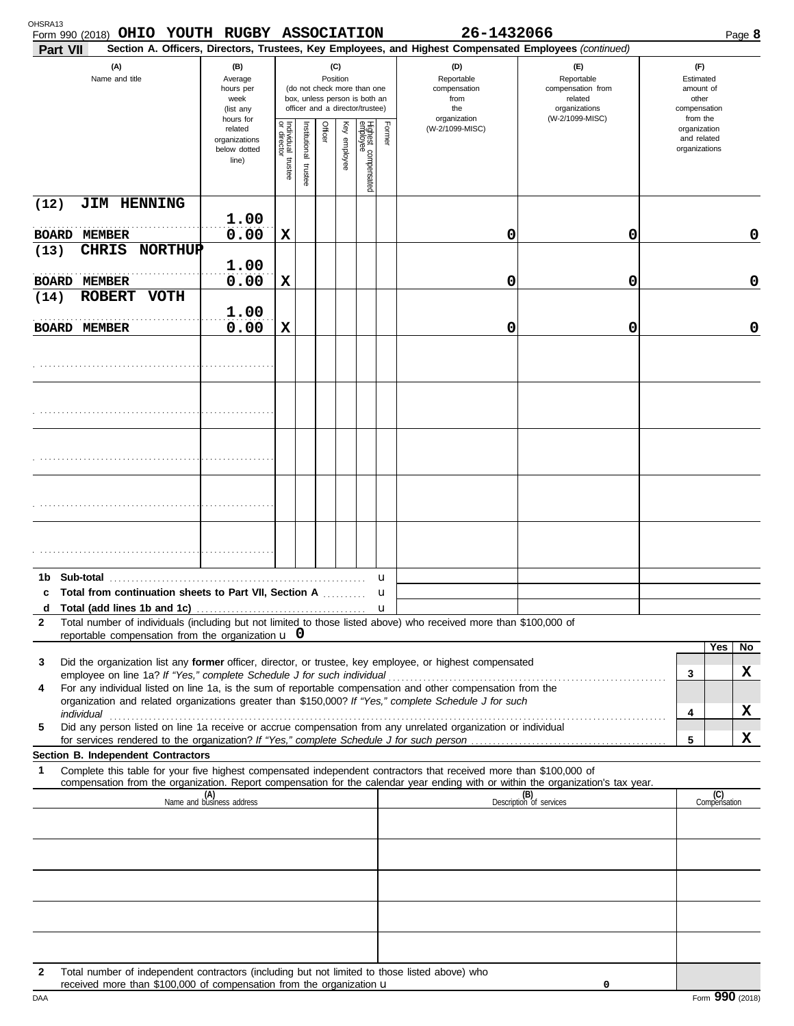| Form 990 (2018) OHIO YOUTH RUGBY ASSOCIATION<br>Part VII                                                                                                                                                                                                                                                                                     |                                                                                                                                                                        |                                      |                         |         |              |                                 |              | 26-1432066<br>Section A. Officers, Directors, Trustees, Key Employees, and Highest Compensated Employees (continued) |                                                                                       |                                                                    |                     | Page 8 |
|----------------------------------------------------------------------------------------------------------------------------------------------------------------------------------------------------------------------------------------------------------------------------------------------------------------------------------------------|------------------------------------------------------------------------------------------------------------------------------------------------------------------------|--------------------------------------|-------------------------|---------|--------------|---------------------------------|--------------|----------------------------------------------------------------------------------------------------------------------|---------------------------------------------------------------------------------------|--------------------------------------------------------------------|---------------------|--------|
| (A)<br>Name and title                                                                                                                                                                                                                                                                                                                        | (B)<br>(C)<br>Position<br>Average<br>hours per<br>(do not check more than one<br>box, unless person is both an<br>week<br>officer and a director/trustee)<br>(list any |                                      |                         |         |              |                                 |              | (D)<br>Reportable<br>compensation<br>from<br>the<br>organization                                                     | (E)<br>Reportable<br>compensation from<br>related<br>organizations<br>(W-2/1099-MISC) | (F)<br>Estimated<br>amount of<br>other<br>compensation<br>from the |                     |        |
|                                                                                                                                                                                                                                                                                                                                              | hours for<br>related<br>organizations<br>below dotted<br>line)                                                                                                         | Individual<br>or director<br>trustee | nstitutional<br>trustee | Officer | Key employee | Highest compensated<br>employee | Former       | (W-2/1099-MISC)                                                                                                      |                                                                                       | organization<br>and related<br>organizations                       |                     |        |
| (12)<br>JIM HENNING                                                                                                                                                                                                                                                                                                                          |                                                                                                                                                                        |                                      |                         |         |              |                                 |              |                                                                                                                      |                                                                                       |                                                                    |                     |        |
| BOARD<br><b>MEMBER</b>                                                                                                                                                                                                                                                                                                                       | 1.00<br>0.00                                                                                                                                                           | $\mathbf x$                          |                         |         |              |                                 |              | 0                                                                                                                    | 0                                                                                     |                                                                    |                     | 0      |
| <b>NORTHUP</b><br>(13)<br><b>CHRIS</b>                                                                                                                                                                                                                                                                                                       | 1.00                                                                                                                                                                   |                                      |                         |         |              |                                 |              |                                                                                                                      |                                                                                       |                                                                    |                     |        |
| <b>BOARD MEMBER</b>                                                                                                                                                                                                                                                                                                                          | 0.00                                                                                                                                                                   | $\mathbf x$                          |                         |         |              |                                 |              | 0                                                                                                                    | 0                                                                                     |                                                                    |                     | 0      |
| <b>ROBERT</b><br><b>VOTH</b><br>(14)                                                                                                                                                                                                                                                                                                         | 1.00                                                                                                                                                                   |                                      |                         |         |              |                                 |              |                                                                                                                      |                                                                                       |                                                                    |                     |        |
| <b>BOARD MEMBER</b>                                                                                                                                                                                                                                                                                                                          | 0.00                                                                                                                                                                   | $\mathbf x$                          |                         |         |              |                                 |              | 0                                                                                                                    | 0                                                                                     |                                                                    |                     | 0      |
|                                                                                                                                                                                                                                                                                                                                              |                                                                                                                                                                        |                                      |                         |         |              |                                 |              |                                                                                                                      |                                                                                       |                                                                    |                     |        |
|                                                                                                                                                                                                                                                                                                                                              |                                                                                                                                                                        |                                      |                         |         |              |                                 |              |                                                                                                                      |                                                                                       |                                                                    |                     |        |
|                                                                                                                                                                                                                                                                                                                                              |                                                                                                                                                                        |                                      |                         |         |              |                                 |              |                                                                                                                      |                                                                                       |                                                                    |                     |        |
|                                                                                                                                                                                                                                                                                                                                              |                                                                                                                                                                        |                                      |                         |         |              |                                 |              |                                                                                                                      |                                                                                       |                                                                    |                     |        |
|                                                                                                                                                                                                                                                                                                                                              |                                                                                                                                                                        |                                      |                         |         |              |                                 |              |                                                                                                                      |                                                                                       |                                                                    |                     |        |
|                                                                                                                                                                                                                                                                                                                                              |                                                                                                                                                                        |                                      |                         |         |              |                                 |              |                                                                                                                      |                                                                                       |                                                                    |                     |        |
| Sub-total<br>1b<br>c Total from continuation sheets to Part VII, Section A                                                                                                                                                                                                                                                                   |                                                                                                                                                                        |                                      |                         |         |              |                                 | u<br>u       |                                                                                                                      |                                                                                       |                                                                    |                     |        |
| d<br>Total number of individuals (including but not limited to those listed above) who received more than \$100,000 of                                                                                                                                                                                                                       |                                                                                                                                                                        |                                      |                         |         |              |                                 | $\mathbf{u}$ |                                                                                                                      |                                                                                       |                                                                    |                     |        |
| $\mathbf{2}$<br>reportable compensation from the organization $\bf{u}$ 0                                                                                                                                                                                                                                                                     |                                                                                                                                                                        |                                      |                         |         |              |                                 |              |                                                                                                                      |                                                                                       |                                                                    |                     |        |
| Did the organization list any former officer, director, or trustee, key employee, or highest compensated<br>3                                                                                                                                                                                                                                |                                                                                                                                                                        |                                      |                         |         |              |                                 |              |                                                                                                                      |                                                                                       |                                                                    | Yes                 | No.    |
| For any individual listed on line 1a, is the sum of reportable compensation and other compensation from the<br>4                                                                                                                                                                                                                             |                                                                                                                                                                        |                                      |                         |         |              |                                 |              |                                                                                                                      |                                                                                       | 3                                                                  |                     | X      |
| organization and related organizations greater than \$150,000? If "Yes," complete Schedule J for such<br>individual <b>construction in the construction of the construction</b> in the construction of the construction of the construction of the construction of the construction of the construction of the construction of the construct |                                                                                                                                                                        |                                      |                         |         |              |                                 |              |                                                                                                                      |                                                                                       | 4                                                                  |                     | X      |
| Did any person listed on line 1a receive or accrue compensation from any unrelated organization or individual<br>5                                                                                                                                                                                                                           |                                                                                                                                                                        |                                      |                         |         |              |                                 |              |                                                                                                                      |                                                                                       | 5                                                                  |                     | X      |
| Section B. Independent Contractors                                                                                                                                                                                                                                                                                                           |                                                                                                                                                                        |                                      |                         |         |              |                                 |              |                                                                                                                      |                                                                                       |                                                                    |                     |        |
| Complete this table for your five highest compensated independent contractors that received more than \$100,000 of<br>1<br>compensation from the organization. Report compensation for the calendar year ending with or within the organization's tax year.                                                                                  |                                                                                                                                                                        |                                      |                         |         |              |                                 |              |                                                                                                                      |                                                                                       |                                                                    |                     |        |
|                                                                                                                                                                                                                                                                                                                                              | (A)<br>Name and business address                                                                                                                                       |                                      |                         |         |              |                                 |              |                                                                                                                      | (B)<br>Description of services                                                        |                                                                    | (C)<br>Compensation |        |
|                                                                                                                                                                                                                                                                                                                                              |                                                                                                                                                                        |                                      |                         |         |              |                                 |              |                                                                                                                      |                                                                                       |                                                                    |                     |        |
|                                                                                                                                                                                                                                                                                                                                              |                                                                                                                                                                        |                                      |                         |         |              |                                 |              |                                                                                                                      |                                                                                       |                                                                    |                     |        |
|                                                                                                                                                                                                                                                                                                                                              |                                                                                                                                                                        |                                      |                         |         |              |                                 |              |                                                                                                                      |                                                                                       |                                                                    |                     |        |
|                                                                                                                                                                                                                                                                                                                                              |                                                                                                                                                                        |                                      |                         |         |              |                                 |              |                                                                                                                      |                                                                                       |                                                                    |                     |        |
|                                                                                                                                                                                                                                                                                                                                              |                                                                                                                                                                        |                                      |                         |         |              |                                 |              |                                                                                                                      |                                                                                       |                                                                    |                     |        |
| Total number of independent contractors (including but not limited to those listed above) who<br>$\mathbf{2}$                                                                                                                                                                                                                                |                                                                                                                                                                        |                                      |                         |         |              |                                 |              |                                                                                                                      |                                                                                       |                                                                    |                     |        |
| received more than \$100,000 of compensation from the organization $\mathbf u$                                                                                                                                                                                                                                                               |                                                                                                                                                                        |                                      |                         |         |              |                                 |              |                                                                                                                      | 0                                                                                     |                                                                    |                     |        |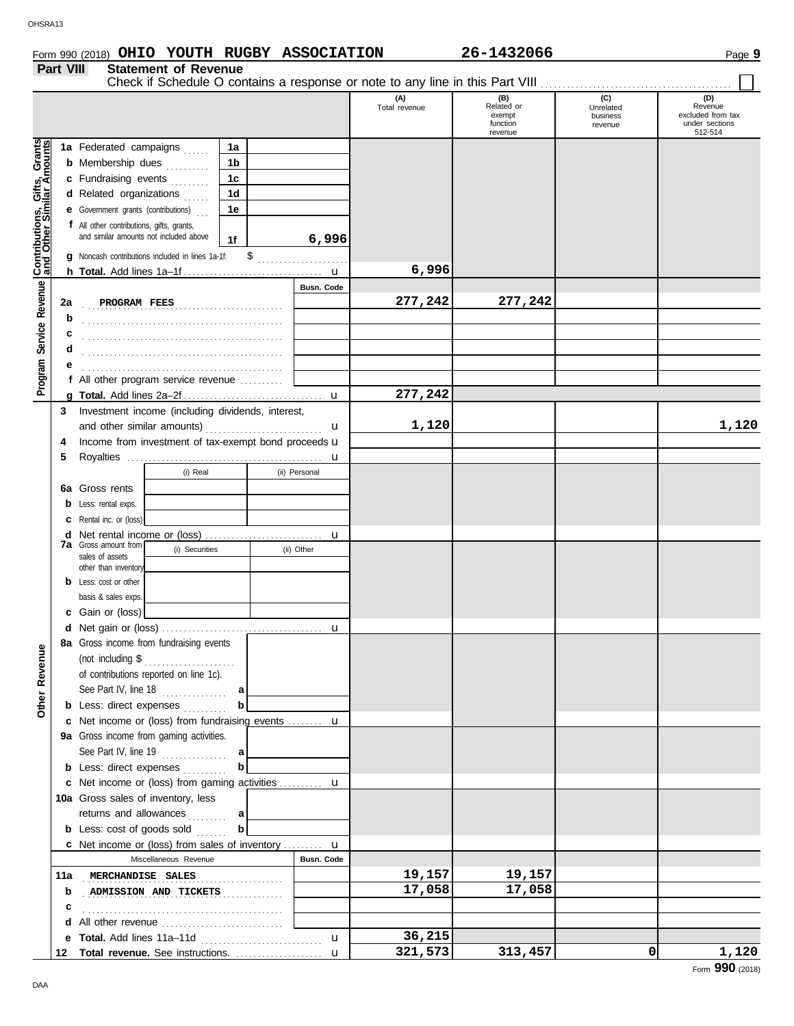# Form 990 (2018) Page **9 OHIO YOUTH RUGBY ASSOCIATION 26-1432066**

# **Part VIII Statement of Revenue**

|                                                                  |                                                                                                                                                | Check if Schedule O contains a response or note to any line in this Part VIII |    |                 |                      |                                                    |                                         |                                                                  |
|------------------------------------------------------------------|------------------------------------------------------------------------------------------------------------------------------------------------|-------------------------------------------------------------------------------|----|-----------------|----------------------|----------------------------------------------------|-----------------------------------------|------------------------------------------------------------------|
|                                                                  |                                                                                                                                                |                                                                               |    |                 | (A)<br>Total revenue | (B)<br>Related or<br>exempt<br>function<br>revenue | (C)<br>Unrelated<br>business<br>revenue | (D)<br>Revenue<br>excluded from tax<br>under sections<br>512-514 |
|                                                                  |                                                                                                                                                | 1a Federated campaigns<br>1a                                                  |    |                 |                      |                                                    |                                         |                                                                  |
|                                                                  |                                                                                                                                                | <b>b</b> Membership dues<br>1b<br>.                                           |    |                 |                      |                                                    |                                         |                                                                  |
|                                                                  |                                                                                                                                                | c Fundraising events<br>1c                                                    |    |                 |                      |                                                    |                                         |                                                                  |
|                                                                  |                                                                                                                                                | d Related organizations<br>1d                                                 |    |                 |                      |                                                    |                                         |                                                                  |
|                                                                  |                                                                                                                                                | 1e                                                                            |    |                 |                      |                                                    |                                         |                                                                  |
| <b>Contributions, Gifts, Grants</b><br>and Other Similar Amounts | <b>e</b> Government grants (contributions)<br><b>f</b> All other contributions, gifts, grants,<br>and similar amounts not included above<br>1f |                                                                               |    | 6,996           |                      |                                                    |                                         |                                                                  |
|                                                                  |                                                                                                                                                | <b>q</b> Noncash contributions included in lines 1a-1f:                       | \$ |                 |                      |                                                    |                                         |                                                                  |
|                                                                  |                                                                                                                                                |                                                                               |    |                 | 6,996                |                                                    |                                         |                                                                  |
| Service Revenue                                                  |                                                                                                                                                |                                                                               |    | Busn. Code      |                      |                                                    |                                         |                                                                  |
|                                                                  | 2a                                                                                                                                             | PROGRAM FEES                                                                  |    |                 | 277,242              | 277,242                                            |                                         |                                                                  |
|                                                                  | b                                                                                                                                              |                                                                               |    |                 |                      |                                                    |                                         |                                                                  |
|                                                                  | с                                                                                                                                              |                                                                               |    |                 |                      |                                                    |                                         |                                                                  |
|                                                                  | d                                                                                                                                              |                                                                               |    |                 |                      |                                                    |                                         |                                                                  |
|                                                                  |                                                                                                                                                |                                                                               |    |                 |                      |                                                    |                                         |                                                                  |
| Program :                                                        |                                                                                                                                                | f All other program service revenue $\ldots$                                  |    |                 |                      |                                                    |                                         |                                                                  |
|                                                                  |                                                                                                                                                |                                                                               |    | $\mathbf u$     | 277,242              |                                                    |                                         |                                                                  |
|                                                                  | 3                                                                                                                                              | Investment income (including dividends, interest,                             |    |                 |                      |                                                    |                                         |                                                                  |
|                                                                  |                                                                                                                                                | and other similar amounts)                                                    |    | u               | 1,120                |                                                    |                                         | 1,120                                                            |
|                                                                  | 4                                                                                                                                              | Income from investment of tax-exempt bond proceeds u                          |    |                 |                      |                                                    |                                         |                                                                  |
|                                                                  | 5                                                                                                                                              |                                                                               |    | u               |                      |                                                    |                                         |                                                                  |
|                                                                  |                                                                                                                                                | (i) Real                                                                      |    | (ii) Personal   |                      |                                                    |                                         |                                                                  |
|                                                                  |                                                                                                                                                | <b>6a</b> Gross rents                                                         |    |                 |                      |                                                    |                                         |                                                                  |
|                                                                  |                                                                                                                                                |                                                                               |    |                 |                      |                                                    |                                         |                                                                  |
|                                                                  |                                                                                                                                                | <b>b</b> Less: rental exps.                                                   |    |                 |                      |                                                    |                                         |                                                                  |
|                                                                  | c                                                                                                                                              | Rental inc. or (loss)                                                         |    |                 |                      |                                                    |                                         |                                                                  |
|                                                                  |                                                                                                                                                | <b>7a</b> Gross amount from<br>(i) Securities                                 |    | u<br>(ii) Other |                      |                                                    |                                         |                                                                  |
|                                                                  |                                                                                                                                                | sales of assets                                                               |    |                 |                      |                                                    |                                         |                                                                  |
|                                                                  |                                                                                                                                                | other than inventory                                                          |    |                 |                      |                                                    |                                         |                                                                  |
|                                                                  |                                                                                                                                                | <b>b</b> Less: cost or other                                                  |    |                 |                      |                                                    |                                         |                                                                  |
|                                                                  |                                                                                                                                                | basis & sales exps.                                                           |    |                 |                      |                                                    |                                         |                                                                  |
|                                                                  |                                                                                                                                                | c Gain or (loss)                                                              |    |                 |                      |                                                    |                                         |                                                                  |
|                                                                  |                                                                                                                                                |                                                                               |    |                 |                      |                                                    |                                         |                                                                  |
| g                                                                |                                                                                                                                                | 8a Gross income from fundraising events                                       |    |                 |                      |                                                    |                                         |                                                                  |
|                                                                  |                                                                                                                                                |                                                                               |    |                 |                      |                                                    |                                         |                                                                  |
|                                                                  |                                                                                                                                                | of contributions reported on line 1c).                                        |    |                 |                      |                                                    |                                         |                                                                  |
| <b>Other Revent</b>                                              |                                                                                                                                                | See Part IV, line $18$<br>a                                                   |    |                 |                      |                                                    |                                         |                                                                  |
|                                                                  |                                                                                                                                                | b<br><b>b</b> Less: direct expenses                                           |    |                 |                      |                                                    |                                         |                                                                  |
|                                                                  |                                                                                                                                                | c Net income or (loss) from fundraising events  u                             |    |                 |                      |                                                    |                                         |                                                                  |
|                                                                  |                                                                                                                                                | 9a Gross income from gaming activities.                                       |    |                 |                      |                                                    |                                         |                                                                  |
|                                                                  |                                                                                                                                                | See Part IV, line $19$<br>al                                                  |    |                 |                      |                                                    |                                         |                                                                  |
|                                                                  |                                                                                                                                                | b<br><b>b</b> Less: direct expenses                                           |    |                 |                      |                                                    |                                         |                                                                  |
|                                                                  |                                                                                                                                                | c Net income or (loss) from gaming activities  u                              |    |                 |                      |                                                    |                                         |                                                                  |
|                                                                  |                                                                                                                                                | 10a Gross sales of inventory, less                                            |    |                 |                      |                                                    |                                         |                                                                  |
|                                                                  |                                                                                                                                                | returns and allowances  a                                                     |    |                 |                      |                                                    |                                         |                                                                  |
|                                                                  |                                                                                                                                                | <b>b</b> Less: cost of goods sold<br>b                                        |    |                 |                      |                                                    |                                         |                                                                  |
|                                                                  |                                                                                                                                                | c Net income or (loss) from sales of inventory  u                             |    |                 |                      |                                                    |                                         |                                                                  |
|                                                                  |                                                                                                                                                | Miscellaneous Revenue                                                         |    | Busn. Code      |                      |                                                    |                                         |                                                                  |
|                                                                  | 11a                                                                                                                                            | MERCHANDISE SALES                                                             |    |                 | 19,157               | 19,157                                             |                                         |                                                                  |
|                                                                  | b                                                                                                                                              | ADMISSION AND TICKETS                                                         | .  |                 | 17,058               | 17,058                                             |                                         |                                                                  |
|                                                                  | c                                                                                                                                              |                                                                               |    |                 |                      |                                                    |                                         |                                                                  |
|                                                                  | d                                                                                                                                              | All other revenue                                                             |    |                 |                      |                                                    |                                         |                                                                  |
|                                                                  |                                                                                                                                                |                                                                               |    | $\mathbf{u}$    | 36,215               |                                                    |                                         |                                                                  |
|                                                                  | 12                                                                                                                                             | Total revenue. See instructions.                                              |    | $\mathbf{u}$    | 321,573              | 313,457                                            | 0                                       | 1,120                                                            |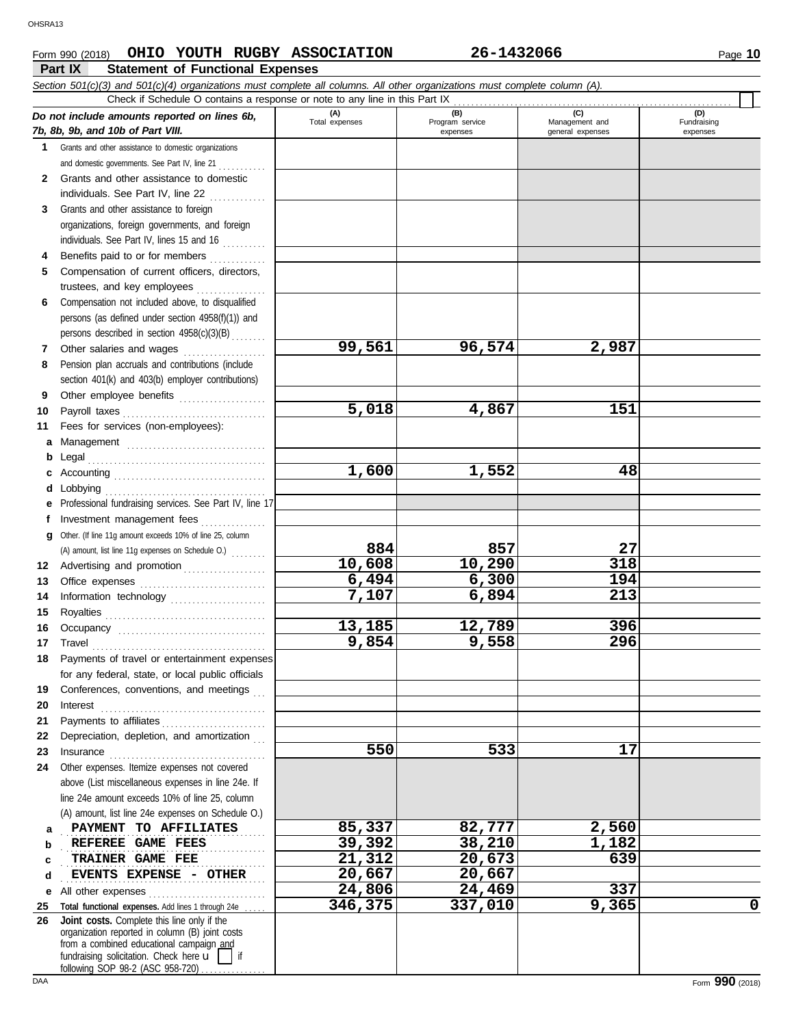### **Form 990 (2018) CHIO YOUTH RUGBY ASSOCIATION 26-1432066** Page 10

**Part IX Statement of Functional Expenses**

|              | Section 501(c)(3) and 501(c)(4) organizations must complete all columns. All other organizations must complete column (A).<br>Check if Schedule O contains a response or note to any line in this Part IX                                                                                                                                                                                                                                                                                                                   |                      |                 |                  |             |
|--------------|-----------------------------------------------------------------------------------------------------------------------------------------------------------------------------------------------------------------------------------------------------------------------------------------------------------------------------------------------------------------------------------------------------------------------------------------------------------------------------------------------------------------------------|----------------------|-----------------|------------------|-------------|
|              |                                                                                                                                                                                                                                                                                                                                                                                                                                                                                                                             | (A)                  | (B)             | (C)              | (D)         |
|              | Do not include amounts reported on lines 6b,<br>7b, 8b, 9b, and 10b of Part VIII.                                                                                                                                                                                                                                                                                                                                                                                                                                           | Total expenses       | Program service | Management and   | Fundraising |
|              |                                                                                                                                                                                                                                                                                                                                                                                                                                                                                                                             |                      | expenses        | general expenses | expenses    |
|              | 1 Grants and other assistance to domestic organizations<br>and domestic governments. See Part IV, line 21                                                                                                                                                                                                                                                                                                                                                                                                                   |                      |                 |                  |             |
| $\mathbf{2}$ | Grants and other assistance to domestic                                                                                                                                                                                                                                                                                                                                                                                                                                                                                     |                      |                 |                  |             |
|              | individuals. See Part IV, line 22                                                                                                                                                                                                                                                                                                                                                                                                                                                                                           |                      |                 |                  |             |
| 3            | Grants and other assistance to foreign                                                                                                                                                                                                                                                                                                                                                                                                                                                                                      |                      |                 |                  |             |
|              | organizations, foreign governments, and foreign                                                                                                                                                                                                                                                                                                                                                                                                                                                                             |                      |                 |                  |             |
|              | individuals. See Part IV, lines 15 and 16                                                                                                                                                                                                                                                                                                                                                                                                                                                                                   |                      |                 |                  |             |
| 4            | Benefits paid to or for members                                                                                                                                                                                                                                                                                                                                                                                                                                                                                             |                      |                 |                  |             |
| 5            | Compensation of current officers, directors,                                                                                                                                                                                                                                                                                                                                                                                                                                                                                |                      |                 |                  |             |
|              | trustees, and key employees                                                                                                                                                                                                                                                                                                                                                                                                                                                                                                 |                      |                 |                  |             |
| 6            | Compensation not included above, to disqualified                                                                                                                                                                                                                                                                                                                                                                                                                                                                            |                      |                 |                  |             |
|              | persons (as defined under section 4958(f)(1)) and                                                                                                                                                                                                                                                                                                                                                                                                                                                                           |                      |                 |                  |             |
|              | persons described in section 4958(c)(3)(B)                                                                                                                                                                                                                                                                                                                                                                                                                                                                                  |                      |                 |                  |             |
| 7            | Other salaries and wages                                                                                                                                                                                                                                                                                                                                                                                                                                                                                                    | 99,561               | 96,574          | 2,987            |             |
| 8            | Pension plan accruals and contributions (include                                                                                                                                                                                                                                                                                                                                                                                                                                                                            |                      |                 |                  |             |
| 9            | section 401(k) and 403(b) employer contributions)                                                                                                                                                                                                                                                                                                                                                                                                                                                                           |                      |                 |                  |             |
| 10           | Other employee benefits                                                                                                                                                                                                                                                                                                                                                                                                                                                                                                     | $\overline{5}$ , 018 | 4,867           | 151              |             |
| 11           | Fees for services (non-employees):                                                                                                                                                                                                                                                                                                                                                                                                                                                                                          |                      |                 |                  |             |
| a            |                                                                                                                                                                                                                                                                                                                                                                                                                                                                                                                             |                      |                 |                  |             |
| b            |                                                                                                                                                                                                                                                                                                                                                                                                                                                                                                                             |                      |                 |                  |             |
|              |                                                                                                                                                                                                                                                                                                                                                                                                                                                                                                                             | 1,600                | 1,552           | 48               |             |
| d            |                                                                                                                                                                                                                                                                                                                                                                                                                                                                                                                             |                      |                 |                  |             |
| е            | Professional fundraising services. See Part IV, line 17                                                                                                                                                                                                                                                                                                                                                                                                                                                                     |                      |                 |                  |             |
|              | Investment management fees                                                                                                                                                                                                                                                                                                                                                                                                                                                                                                  |                      |                 |                  |             |
| q            | Other. (If line 11g amount exceeds 10% of line 25, column                                                                                                                                                                                                                                                                                                                                                                                                                                                                   |                      |                 |                  |             |
|              | (A) amount, list line 11g expenses on Schedule O.)                                                                                                                                                                                                                                                                                                                                                                                                                                                                          | 884                  | 857             | 27               |             |
| 12           | Advertising and promotion                                                                                                                                                                                                                                                                                                                                                                                                                                                                                                   | 10,608               | 10,290          | 318              |             |
| 13           |                                                                                                                                                                                                                                                                                                                                                                                                                                                                                                                             | 6,494<br>7,107       | 6,300<br>6,894  | 194<br>213       |             |
| 14           | Information technology                                                                                                                                                                                                                                                                                                                                                                                                                                                                                                      |                      |                 |                  |             |
| 15<br>16     |                                                                                                                                                                                                                                                                                                                                                                                                                                                                                                                             | 13,185               | 12,789          | 396              |             |
| 17           | $\begin{minipage}[c]{0.9\linewidth} \begin{tabular}{l} \textbf{Travel} \end{tabular} \end{minipage} \end{minipage} \begin{minipage}[c]{0.9\linewidth} \begin{tabular}{l} \textbf{True} \end{tabular} \end{minipage} \end{minipage} \begin{minipage}[c]{0.9\linewidth} \begin{tabular}{l} \textbf{True} \end{tabular} \end{minipage} \end{minipage} \begin{minipage}[c]{0.9\linewidth} \begin{tabular}{l} \textbf{True} \end{tabular} \end{minipage} \end{minipage} \begin{minipage}[c]{0.9\linewidth} \begin{tabular}{l} \$ | 9,854                | 9,558           | 296              |             |
| 18           | Payments of travel or entertainment expenses                                                                                                                                                                                                                                                                                                                                                                                                                                                                                |                      |                 |                  |             |
|              | for any federal, state, or local public officials                                                                                                                                                                                                                                                                                                                                                                                                                                                                           |                      |                 |                  |             |
| 19           | Conferences, conventions, and meetings                                                                                                                                                                                                                                                                                                                                                                                                                                                                                      |                      |                 |                  |             |
| 20           | Interest                                                                                                                                                                                                                                                                                                                                                                                                                                                                                                                    |                      |                 |                  |             |
| 21           | Payments to affiliates                                                                                                                                                                                                                                                                                                                                                                                                                                                                                                      |                      |                 |                  |             |
| 22           | Depreciation, depletion, and amortization                                                                                                                                                                                                                                                                                                                                                                                                                                                                                   |                      |                 |                  |             |
| 23           |                                                                                                                                                                                                                                                                                                                                                                                                                                                                                                                             | 550                  | 533             | 17               |             |
| 24           | Other expenses. Itemize expenses not covered                                                                                                                                                                                                                                                                                                                                                                                                                                                                                |                      |                 |                  |             |
|              | above (List miscellaneous expenses in line 24e. If                                                                                                                                                                                                                                                                                                                                                                                                                                                                          |                      |                 |                  |             |
|              | line 24e amount exceeds 10% of line 25, column                                                                                                                                                                                                                                                                                                                                                                                                                                                                              |                      |                 |                  |             |
| а            | (A) amount, list line 24e expenses on Schedule O.)<br>PAYMENT TO AFFILIATES                                                                                                                                                                                                                                                                                                                                                                                                                                                 | 85,337               | 82,777          | 2,560            |             |
| b            | REFEREE GAME FEES                                                                                                                                                                                                                                                                                                                                                                                                                                                                                                           | 39,392               | 38,210          | 1,182            |             |
| c            | TRAINER GAME FEE                                                                                                                                                                                                                                                                                                                                                                                                                                                                                                            | 21,312               | 20,673          | 639              |             |
| d            | EVENTS EXPENSE - OTHER                                                                                                                                                                                                                                                                                                                                                                                                                                                                                                      | 20,667               | 20,667          |                  |             |
| е            | All other expenses                                                                                                                                                                                                                                                                                                                                                                                                                                                                                                          | 24,806               | 24, 469         | 337              |             |
| 25           | Total functional expenses. Add lines 1 through 24e                                                                                                                                                                                                                                                                                                                                                                                                                                                                          | 346,375              | 337,010         | 9,365            | 0           |
| 26           | Joint costs. Complete this line only if the<br>organization reported in column (B) joint costs<br>from a combined educational campaign and<br>fundraising solicitation. Check here $\mathbf{u}$     if                                                                                                                                                                                                                                                                                                                      |                      |                 |                  |             |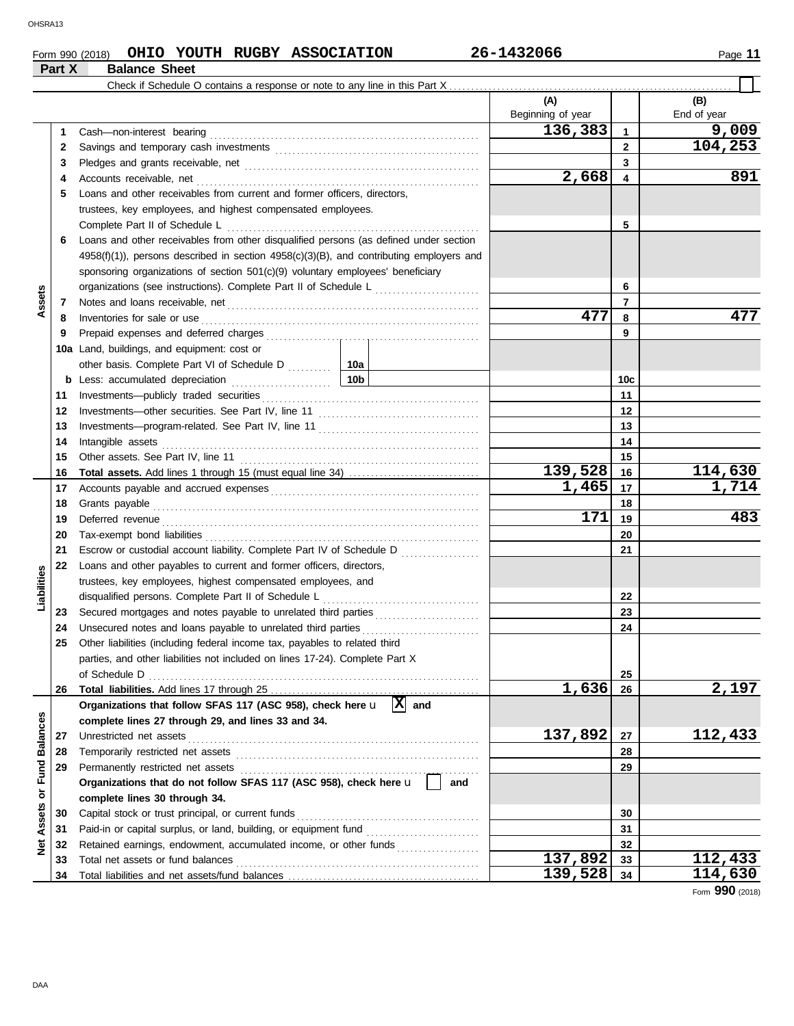### **Form 990 (2018) CHIO YOUTH RUGBY ASSOCIATION** 26-1432066 2011 Page 11 **Part X Balance Sheet**<br>**Part X Balance Sheet**

|                                |          | Check if Schedule O contains a response or note to any line in this Part X.                                                                                                                                                   |                     |                          |                 |                    |
|--------------------------------|----------|-------------------------------------------------------------------------------------------------------------------------------------------------------------------------------------------------------------------------------|---------------------|--------------------------|-----------------|--------------------|
|                                |          |                                                                                                                                                                                                                               |                     | (A)<br>Beginning of year |                 | (B)<br>End of year |
|                                | 1.       | Cash-non-interest bearing                                                                                                                                                                                                     |                     | 136,383                  | 1               | 9,009              |
|                                | 2        |                                                                                                                                                                                                                               |                     | $\mathbf{2}$             | 104,253         |                    |
|                                | 3        |                                                                                                                                                                                                                               |                     |                          | 3               |                    |
|                                | 4        | Accounts receivable, net                                                                                                                                                                                                      |                     | 2,668                    | 4               | 891                |
|                                | 5        | Loans and other receivables from current and former officers, directors,                                                                                                                                                      |                     |                          |                 |                    |
|                                |          | trustees, key employees, and highest compensated employees.                                                                                                                                                                   |                     |                          |                 |                    |
|                                |          | Complete Part II of Schedule L                                                                                                                                                                                                |                     |                          | 5               |                    |
|                                | 6        | Loans and other receivables from other disqualified persons (as defined under section                                                                                                                                         |                     |                          |                 |                    |
|                                |          | $4958(f)(1)$ , persons described in section $4958(c)(3)(B)$ , and contributing employers and                                                                                                                                  |                     |                          |                 |                    |
|                                |          | sponsoring organizations of section 501(c)(9) voluntary employees' beneficiary                                                                                                                                                |                     |                          |                 |                    |
| Assets                         |          | organizations (see instructions). Complete Part II of Schedule L                                                                                                                                                              |                     |                          | 6               |                    |
|                                | 7        |                                                                                                                                                                                                                               |                     |                          | $\overline{7}$  |                    |
|                                | 8        | Inventories for sale or use                                                                                                                                                                                                   |                     | 477                      | 8               | 477                |
|                                | 9        |                                                                                                                                                                                                                               |                     |                          | 9               |                    |
|                                |          | 10a Land, buildings, and equipment: cost or                                                                                                                                                                                   |                     |                          |                 |                    |
|                                |          | other basis. Complete Part VI of Schedule D  10a                                                                                                                                                                              |                     |                          |                 |                    |
|                                |          | 10b                                                                                                                                                                                                                           |                     |                          | 10 <sub>c</sub> |                    |
|                                | 11       | Investments--publicly traded securities                                                                                                                                                                                       |                     |                          | 11              |                    |
|                                | 12       |                                                                                                                                                                                                                               |                     |                          | 12              |                    |
|                                | 13       |                                                                                                                                                                                                                               |                     |                          | 13              |                    |
|                                | 14       | Intangible assets                                                                                                                                                                                                             |                     | 14                       |                 |                    |
|                                | 15       | Other assets. See Part IV, line 11                                                                                                                                                                                            |                     | 15                       |                 |                    |
|                                | 16       |                                                                                                                                                                                                                               |                     | 139,528                  | 16              | 114,630            |
|                                | 17       | Accounts payable and accrued expenses [[1][1] Accounts payable and accrued expenses [[1] Accounts are not accrued to a set of a set of a set of a set of a set of a set of a set of a set of a set of a set of a set of a set |                     | 1,465                    | 17              | 1,714              |
|                                | 18       |                                                                                                                                                                                                                               |                     |                          | 18              |                    |
|                                | 19       | Deferred revenue                                                                                                                                                                                                              |                     | 171                      | 19              | 483                |
|                                | 20       |                                                                                                                                                                                                                               |                     |                          | 20              |                    |
|                                | 21       | Escrow or custodial account liability. Complete Part IV of Schedule D                                                                                                                                                         |                     |                          | 21              |                    |
|                                | 22       | Loans and other payables to current and former officers, directors,                                                                                                                                                           |                     |                          |                 |                    |
| Liabilities                    |          | trustees, key employees, highest compensated employees, and                                                                                                                                                                   |                     |                          |                 |                    |
|                                |          | disqualified persons. Complete Part II of Schedule L                                                                                                                                                                          |                     |                          | 22              |                    |
|                                | 23       | Secured mortgages and notes payable to unrelated third parties                                                                                                                                                                |                     |                          | 23              |                    |
|                                | 24       | Unsecured notes and loans payable to unrelated third parties                                                                                                                                                                  |                     |                          | 24              |                    |
|                                | 25       | Other liabilities (including federal income tax, payables to related third                                                                                                                                                    |                     |                          |                 |                    |
|                                |          | parties, and other liabilities not included on lines 17-24). Complete Part X                                                                                                                                                  |                     |                          |                 |                    |
|                                |          | of Schedule D                                                                                                                                                                                                                 |                     |                          | 25              |                    |
|                                | 26       |                                                                                                                                                                                                                               |                     | 1,636                    | 26              | 2,197              |
|                                |          | Organizations that follow SFAS 117 (ASC 958), check here u                                                                                                                                                                    | $\mathbf{x}$<br>and |                          |                 |                    |
|                                |          | complete lines 27 through 29, and lines 33 and 34.                                                                                                                                                                            |                     |                          |                 |                    |
|                                | 27       | Unrestricted net assets                                                                                                                                                                                                       |                     | 137,892                  | 27              | 112,433            |
|                                | 28       | Temporarily restricted net assets                                                                                                                                                                                             |                     |                          | 28              |                    |
|                                | 29       | Permanently restricted net assets                                                                                                                                                                                             |                     |                          | 29              |                    |
|                                |          | Organizations that do not follow SFAS 117 (ASC 958), check here u                                                                                                                                                             | and                 |                          |                 |                    |
| <b>Assets or Fund Balances</b> |          | complete lines 30 through 34.                                                                                                                                                                                                 |                     |                          |                 |                    |
|                                | 30       | Capital stock or trust principal, or current funds<br>Paid-in or capital surplus, or land, building, or equipment fund                                                                                                        |                     |                          | 30<br>31        |                    |
|                                | 31<br>32 | Retained earnings, endowment, accumulated income, or other funds                                                                                                                                                              |                     |                          | 32              |                    |
| ğ                              | 33       | Total net assets or fund balances                                                                                                                                                                                             |                     | 137,892                  | 33              | 112,433            |
|                                | 34       |                                                                                                                                                                                                                               |                     | 139,528                  | 34              | 114,630            |
|                                |          |                                                                                                                                                                                                                               |                     |                          |                 |                    |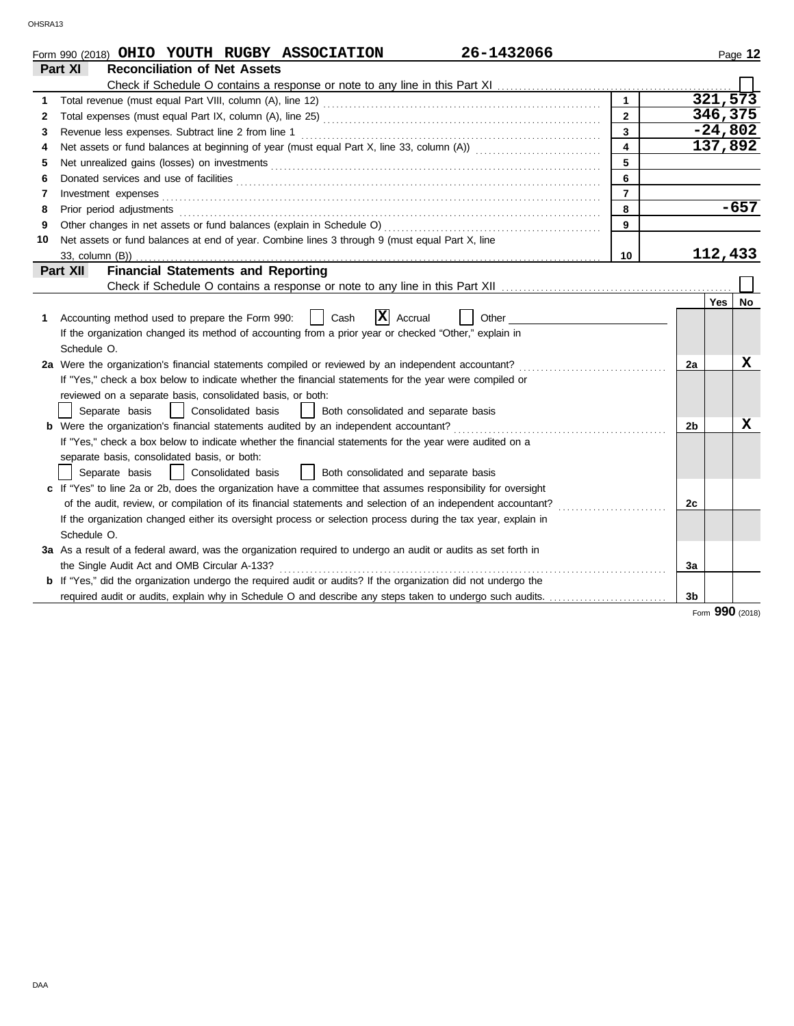|    | 26-1432066<br>Form 990 (2018) OHIO YOUTH RUGBY ASSOCIATION                                                                                                                                                                     |                |                |         | Page 12   |
|----|--------------------------------------------------------------------------------------------------------------------------------------------------------------------------------------------------------------------------------|----------------|----------------|---------|-----------|
|    | <b>Reconciliation of Net Assets</b><br>Part XI                                                                                                                                                                                 |                |                |         |           |
|    |                                                                                                                                                                                                                                |                |                |         |           |
| 1  |                                                                                                                                                                                                                                | $\mathbf{1}$   |                |         | 321,573   |
| 2  |                                                                                                                                                                                                                                | $\overline{2}$ |                |         | 346,375   |
| 3  | Revenue less expenses. Subtract line 2 from line 1                                                                                                                                                                             | $\overline{3}$ |                |         | $-24,802$ |
| 4  | Net assets or fund balances at beginning of year (must equal Part X, line 33, column (A)) [[[[[[[[[[[[[[[[[[[                                                                                                                  | $\overline{4}$ |                |         | 137,892   |
| 5  |                                                                                                                                                                                                                                | $\overline{5}$ |                |         |           |
| 6  | Donated services and use of facilities <b>constructs</b> and a service of the service of the service of facilities                                                                                                             | $6\phantom{a}$ |                |         |           |
| 7  | Investment expenses <b>constant expenses constant expenses constant expenses constant expenses</b>                                                                                                                             | $\overline{7}$ |                |         |           |
| 8  | Prior period adjustments [11, 12] and the contract of the contract of the contract of the contract of the contract of the contract of the contract of the contract of the contract of the contract of the contract of the cont | 8              |                |         | $-657$    |
| 9  |                                                                                                                                                                                                                                | 9              |                |         |           |
| 10 | Net assets or fund balances at end of year. Combine lines 3 through 9 (must equal Part X, line                                                                                                                                 |                |                |         |           |
|    | 33, column (B))                                                                                                                                                                                                                | 10             |                | 112,433 |           |
|    | <b>Financial Statements and Reporting</b><br>Part XII                                                                                                                                                                          |                |                |         |           |
|    |                                                                                                                                                                                                                                |                |                |         |           |
|    |                                                                                                                                                                                                                                |                |                | Yes     | No        |
| 1  | $ \mathbf{X} $ Accrual<br>Accounting method used to prepare the Form 990:<br>Cash<br>Other                                                                                                                                     |                |                |         |           |
|    | If the organization changed its method of accounting from a prior year or checked "Other," explain in                                                                                                                          |                |                |         |           |
|    | Schedule O.                                                                                                                                                                                                                    |                |                |         |           |
|    | 2a Were the organization's financial statements compiled or reviewed by an independent accountant?                                                                                                                             |                | 2a             |         | x         |
|    | If "Yes," check a box below to indicate whether the financial statements for the year were compiled or                                                                                                                         |                |                |         |           |
|    | reviewed on a separate basis, consolidated basis, or both:                                                                                                                                                                     |                |                |         |           |
|    | Separate basis<br>  Consolidated basis<br>Both consolidated and separate basis<br>$\perp$                                                                                                                                      |                |                |         |           |
|    |                                                                                                                                                                                                                                |                | 2 <sub>b</sub> |         | x         |
|    | If "Yes," check a box below to indicate whether the financial statements for the year were audited on a                                                                                                                        |                |                |         |           |
|    | separate basis, consolidated basis, or both:                                                                                                                                                                                   |                |                |         |           |
|    | Consolidated basis<br>Separate basis<br>Both consolidated and separate basis                                                                                                                                                   |                |                |         |           |
|    | c If "Yes" to line 2a or 2b, does the organization have a committee that assumes responsibility for oversight                                                                                                                  |                |                |         |           |
|    | of the audit, review, or compilation of its financial statements and selection of an independent accountant?                                                                                                                   |                | 2c             |         |           |
|    | If the organization changed either its oversight process or selection process during the tax year, explain in                                                                                                                  |                |                |         |           |
|    | Schedule O.                                                                                                                                                                                                                    |                |                |         |           |
|    | 3a As a result of a federal award, was the organization required to undergo an audit or audits as set forth in                                                                                                                 |                |                |         |           |
|    | the Single Audit Act and OMB Circular A-133?                                                                                                                                                                                   |                | За             |         |           |
|    | b If "Yes," did the organization undergo the required audit or audits? If the organization did not undergo the                                                                                                                 |                |                |         |           |
|    |                                                                                                                                                                                                                                |                |                |         |           |
|    |                                                                                                                                                                                                                                |                | 3b             |         |           |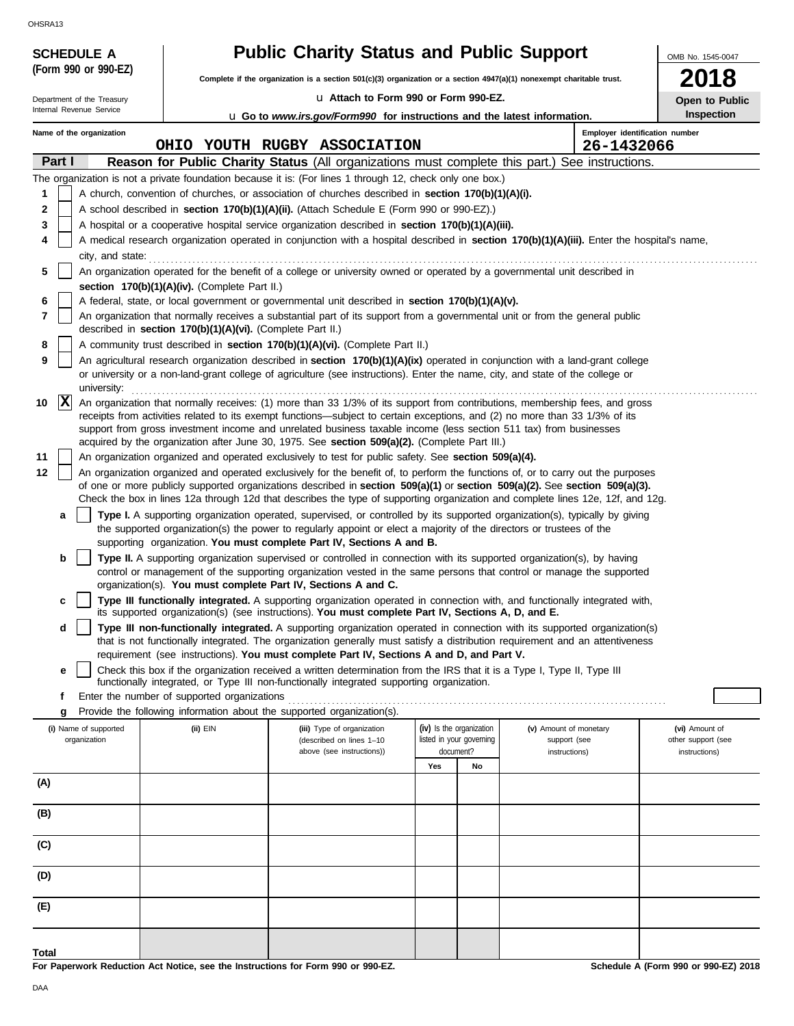| (Form 990 or 990-EZ)<br>Department of the Treasury<br>Internal Revenue Service<br>Name of the organization<br>Part I<br>1<br>2<br>3<br>4<br>city, and state:<br>5 | A church, convention of churches, or association of churches described in section 170(b)(1)(A)(i).<br>A school described in section 170(b)(1)(A)(ii). (Attach Schedule E (Form 990 or 990-EZ).) | Complete if the organization is a section 501(c)(3) organization or a section 4947(a)(1) nonexempt charitable trust.<br>La Attach to Form 990 or Form 990-EZ.<br><b>u</b> Go to www.irs.gov/Form990 for instructions and the latest information.<br>OHIO YOUTH RUGBY ASSOCIATION<br><b>Reason for Public Charity Status (All organizations must complete this part.) See instructions.</b><br>The organization is not a private foundation because it is: (For lines 1 through 12, check only one box.) |     |                          |                                                                                                                                                                                                                                                           | 2018<br>Open to Public<br><b>Inspection</b> |
|-------------------------------------------------------------------------------------------------------------------------------------------------------------------|-------------------------------------------------------------------------------------------------------------------------------------------------------------------------------------------------|---------------------------------------------------------------------------------------------------------------------------------------------------------------------------------------------------------------------------------------------------------------------------------------------------------------------------------------------------------------------------------------------------------------------------------------------------------------------------------------------------------|-----|--------------------------|-----------------------------------------------------------------------------------------------------------------------------------------------------------------------------------------------------------------------------------------------------------|---------------------------------------------|
|                                                                                                                                                                   |                                                                                                                                                                                                 |                                                                                                                                                                                                                                                                                                                                                                                                                                                                                                         |     |                          |                                                                                                                                                                                                                                                           |                                             |
|                                                                                                                                                                   |                                                                                                                                                                                                 |                                                                                                                                                                                                                                                                                                                                                                                                                                                                                                         |     |                          |                                                                                                                                                                                                                                                           |                                             |
|                                                                                                                                                                   |                                                                                                                                                                                                 |                                                                                                                                                                                                                                                                                                                                                                                                                                                                                                         |     |                          |                                                                                                                                                                                                                                                           |                                             |
|                                                                                                                                                                   |                                                                                                                                                                                                 |                                                                                                                                                                                                                                                                                                                                                                                                                                                                                                         |     |                          |                                                                                                                                                                                                                                                           | Employer identification number              |
|                                                                                                                                                                   |                                                                                                                                                                                                 |                                                                                                                                                                                                                                                                                                                                                                                                                                                                                                         |     |                          | 26-1432066                                                                                                                                                                                                                                                |                                             |
|                                                                                                                                                                   |                                                                                                                                                                                                 |                                                                                                                                                                                                                                                                                                                                                                                                                                                                                                         |     |                          |                                                                                                                                                                                                                                                           |                                             |
|                                                                                                                                                                   |                                                                                                                                                                                                 |                                                                                                                                                                                                                                                                                                                                                                                                                                                                                                         |     |                          |                                                                                                                                                                                                                                                           |                                             |
|                                                                                                                                                                   |                                                                                                                                                                                                 |                                                                                                                                                                                                                                                                                                                                                                                                                                                                                                         |     |                          |                                                                                                                                                                                                                                                           |                                             |
|                                                                                                                                                                   |                                                                                                                                                                                                 | A hospital or a cooperative hospital service organization described in section 170(b)(1)(A)(iii).                                                                                                                                                                                                                                                                                                                                                                                                       |     |                          |                                                                                                                                                                                                                                                           |                                             |
|                                                                                                                                                                   |                                                                                                                                                                                                 |                                                                                                                                                                                                                                                                                                                                                                                                                                                                                                         |     |                          | A medical research organization operated in conjunction with a hospital described in section 170(b)(1)(A)(iii). Enter the hospital's name,                                                                                                                |                                             |
|                                                                                                                                                                   |                                                                                                                                                                                                 |                                                                                                                                                                                                                                                                                                                                                                                                                                                                                                         |     |                          |                                                                                                                                                                                                                                                           |                                             |
|                                                                                                                                                                   |                                                                                                                                                                                                 | An organization operated for the benefit of a college or university owned or operated by a governmental unit described in                                                                                                                                                                                                                                                                                                                                                                               |     |                          |                                                                                                                                                                                                                                                           |                                             |
|                                                                                                                                                                   | section 170(b)(1)(A)(iv). (Complete Part II.)                                                                                                                                                   |                                                                                                                                                                                                                                                                                                                                                                                                                                                                                                         |     |                          |                                                                                                                                                                                                                                                           |                                             |
| 6                                                                                                                                                                 |                                                                                                                                                                                                 | A federal, state, or local government or governmental unit described in section 170(b)(1)(A)(v).                                                                                                                                                                                                                                                                                                                                                                                                        |     |                          |                                                                                                                                                                                                                                                           |                                             |
| 7                                                                                                                                                                 |                                                                                                                                                                                                 | An organization that normally receives a substantial part of its support from a governmental unit or from the general public                                                                                                                                                                                                                                                                                                                                                                            |     |                          |                                                                                                                                                                                                                                                           |                                             |
|                                                                                                                                                                   | described in section 170(b)(1)(A)(vi). (Complete Part II.)                                                                                                                                      |                                                                                                                                                                                                                                                                                                                                                                                                                                                                                                         |     |                          |                                                                                                                                                                                                                                                           |                                             |
| 8<br>9                                                                                                                                                            |                                                                                                                                                                                                 | A community trust described in section 170(b)(1)(A)(vi). (Complete Part II.)                                                                                                                                                                                                                                                                                                                                                                                                                            |     |                          | An agricultural research organization described in section 170(b)(1)(A)(ix) operated in conjunction with a land-grant college                                                                                                                             |                                             |
|                                                                                                                                                                   |                                                                                                                                                                                                 | or university or a non-land-grant college of agriculture (see instructions). Enter the name, city, and state of the college or                                                                                                                                                                                                                                                                                                                                                                          |     |                          |                                                                                                                                                                                                                                                           |                                             |
| university:                                                                                                                                                       |                                                                                                                                                                                                 |                                                                                                                                                                                                                                                                                                                                                                                                                                                                                                         |     |                          |                                                                                                                                                                                                                                                           |                                             |
| $ {\bf x} $<br>10                                                                                                                                                 |                                                                                                                                                                                                 |                                                                                                                                                                                                                                                                                                                                                                                                                                                                                                         |     |                          | An organization that normally receives: (1) more than 33 1/3% of its support from contributions, membership fees, and gross                                                                                                                               |                                             |
|                                                                                                                                                                   |                                                                                                                                                                                                 | receipts from activities related to its exempt functions—subject to certain exceptions, and (2) no more than 33 1/3% of its                                                                                                                                                                                                                                                                                                                                                                             |     |                          |                                                                                                                                                                                                                                                           |                                             |
|                                                                                                                                                                   |                                                                                                                                                                                                 | support from gross investment income and unrelated business taxable income (less section 511 tax) from businesses<br>acquired by the organization after June 30, 1975. See section 509(a)(2). (Complete Part III.)                                                                                                                                                                                                                                                                                      |     |                          |                                                                                                                                                                                                                                                           |                                             |
| 11                                                                                                                                                                |                                                                                                                                                                                                 | An organization organized and operated exclusively to test for public safety. See section 509(a)(4).                                                                                                                                                                                                                                                                                                                                                                                                    |     |                          |                                                                                                                                                                                                                                                           |                                             |
| 12                                                                                                                                                                |                                                                                                                                                                                                 |                                                                                                                                                                                                                                                                                                                                                                                                                                                                                                         |     |                          | An organization organized and operated exclusively for the benefit of, to perform the functions of, or to carry out the purposes                                                                                                                          |                                             |
|                                                                                                                                                                   |                                                                                                                                                                                                 |                                                                                                                                                                                                                                                                                                                                                                                                                                                                                                         |     |                          | of one or more publicly supported organizations described in section 509(a)(1) or section 509(a)(2). See section 509(a)(3).                                                                                                                               |                                             |
|                                                                                                                                                                   |                                                                                                                                                                                                 |                                                                                                                                                                                                                                                                                                                                                                                                                                                                                                         |     |                          | Check the box in lines 12a through 12d that describes the type of supporting organization and complete lines 12e, 12f, and 12g.                                                                                                                           |                                             |
| a                                                                                                                                                                 |                                                                                                                                                                                                 |                                                                                                                                                                                                                                                                                                                                                                                                                                                                                                         |     |                          | Type I. A supporting organization operated, supervised, or controlled by its supported organization(s), typically by giving                                                                                                                               |                                             |
|                                                                                                                                                                   |                                                                                                                                                                                                 | the supported organization(s) the power to regularly appoint or elect a majority of the directors or trustees of the<br>supporting organization. You must complete Part IV, Sections A and B.                                                                                                                                                                                                                                                                                                           |     |                          |                                                                                                                                                                                                                                                           |                                             |
| b                                                                                                                                                                 |                                                                                                                                                                                                 | Type II. A supporting organization supervised or controlled in connection with its supported organization(s), by having                                                                                                                                                                                                                                                                                                                                                                                 |     |                          |                                                                                                                                                                                                                                                           |                                             |
|                                                                                                                                                                   |                                                                                                                                                                                                 |                                                                                                                                                                                                                                                                                                                                                                                                                                                                                                         |     |                          | control or management of the supporting organization vested in the same persons that control or manage the supported                                                                                                                                      |                                             |
|                                                                                                                                                                   |                                                                                                                                                                                                 | organization(s). You must complete Part IV, Sections A and C.                                                                                                                                                                                                                                                                                                                                                                                                                                           |     |                          |                                                                                                                                                                                                                                                           |                                             |
|                                                                                                                                                                   |                                                                                                                                                                                                 |                                                                                                                                                                                                                                                                                                                                                                                                                                                                                                         |     |                          | Type III functionally integrated. A supporting organization operated in connection with, and functionally integrated with,                                                                                                                                |                                             |
|                                                                                                                                                                   |                                                                                                                                                                                                 | its supported organization(s) (see instructions). You must complete Part IV, Sections A, D, and E.                                                                                                                                                                                                                                                                                                                                                                                                      |     |                          |                                                                                                                                                                                                                                                           |                                             |
| d                                                                                                                                                                 |                                                                                                                                                                                                 |                                                                                                                                                                                                                                                                                                                                                                                                                                                                                                         |     |                          | Type III non-functionally integrated. A supporting organization operated in connection with its supported organization(s)<br>that is not functionally integrated. The organization generally must satisfy a distribution requirement and an attentiveness |                                             |
|                                                                                                                                                                   |                                                                                                                                                                                                 | requirement (see instructions). You must complete Part IV, Sections A and D, and Part V.                                                                                                                                                                                                                                                                                                                                                                                                                |     |                          |                                                                                                                                                                                                                                                           |                                             |
| е                                                                                                                                                                 |                                                                                                                                                                                                 | Check this box if the organization received a written determination from the IRS that it is a Type I, Type II, Type III                                                                                                                                                                                                                                                                                                                                                                                 |     |                          |                                                                                                                                                                                                                                                           |                                             |
|                                                                                                                                                                   |                                                                                                                                                                                                 | functionally integrated, or Type III non-functionally integrated supporting organization.                                                                                                                                                                                                                                                                                                                                                                                                               |     |                          |                                                                                                                                                                                                                                                           |                                             |
| f                                                                                                                                                                 | Enter the number of supported organizations                                                                                                                                                     | Provide the following information about the supported organization(s).                                                                                                                                                                                                                                                                                                                                                                                                                                  |     |                          |                                                                                                                                                                                                                                                           |                                             |
| g<br>(i) Name of supported                                                                                                                                        | (ii) EIN                                                                                                                                                                                        | (iii) Type of organization                                                                                                                                                                                                                                                                                                                                                                                                                                                                              |     | (iv) Is the organization |                                                                                                                                                                                                                                                           |                                             |
| organization                                                                                                                                                      |                                                                                                                                                                                                 | (described on lines 1-10                                                                                                                                                                                                                                                                                                                                                                                                                                                                                |     | listed in your governing | (v) Amount of monetary<br>support (see                                                                                                                                                                                                                    | (vi) Amount of<br>other support (see        |
|                                                                                                                                                                   |                                                                                                                                                                                                 | above (see instructions))                                                                                                                                                                                                                                                                                                                                                                                                                                                                               |     | document?                | instructions)                                                                                                                                                                                                                                             | instructions)                               |
|                                                                                                                                                                   |                                                                                                                                                                                                 |                                                                                                                                                                                                                                                                                                                                                                                                                                                                                                         | Yes | No                       |                                                                                                                                                                                                                                                           |                                             |
| (A)                                                                                                                                                               |                                                                                                                                                                                                 |                                                                                                                                                                                                                                                                                                                                                                                                                                                                                                         |     |                          |                                                                                                                                                                                                                                                           |                                             |
|                                                                                                                                                                   |                                                                                                                                                                                                 |                                                                                                                                                                                                                                                                                                                                                                                                                                                                                                         |     |                          |                                                                                                                                                                                                                                                           |                                             |
| (B)                                                                                                                                                               |                                                                                                                                                                                                 |                                                                                                                                                                                                                                                                                                                                                                                                                                                                                                         |     |                          |                                                                                                                                                                                                                                                           |                                             |
|                                                                                                                                                                   |                                                                                                                                                                                                 |                                                                                                                                                                                                                                                                                                                                                                                                                                                                                                         |     |                          |                                                                                                                                                                                                                                                           |                                             |
|                                                                                                                                                                   |                                                                                                                                                                                                 |                                                                                                                                                                                                                                                                                                                                                                                                                                                                                                         |     |                          |                                                                                                                                                                                                                                                           |                                             |
|                                                                                                                                                                   |                                                                                                                                                                                                 |                                                                                                                                                                                                                                                                                                                                                                                                                                                                                                         |     |                          |                                                                                                                                                                                                                                                           |                                             |
| (C)                                                                                                                                                               |                                                                                                                                                                                                 |                                                                                                                                                                                                                                                                                                                                                                                                                                                                                                         |     |                          |                                                                                                                                                                                                                                                           |                                             |
| (D)                                                                                                                                                               |                                                                                                                                                                                                 |                                                                                                                                                                                                                                                                                                                                                                                                                                                                                                         |     |                          |                                                                                                                                                                                                                                                           |                                             |
| (E)                                                                                                                                                               |                                                                                                                                                                                                 |                                                                                                                                                                                                                                                                                                                                                                                                                                                                                                         |     |                          |                                                                                                                                                                                                                                                           |                                             |

**For Paperwork Reduction Act Notice, see the Instructions for Form 990 or 990-EZ.**

**Schedule A (Form 990 or 990-EZ) 2018**

**Total**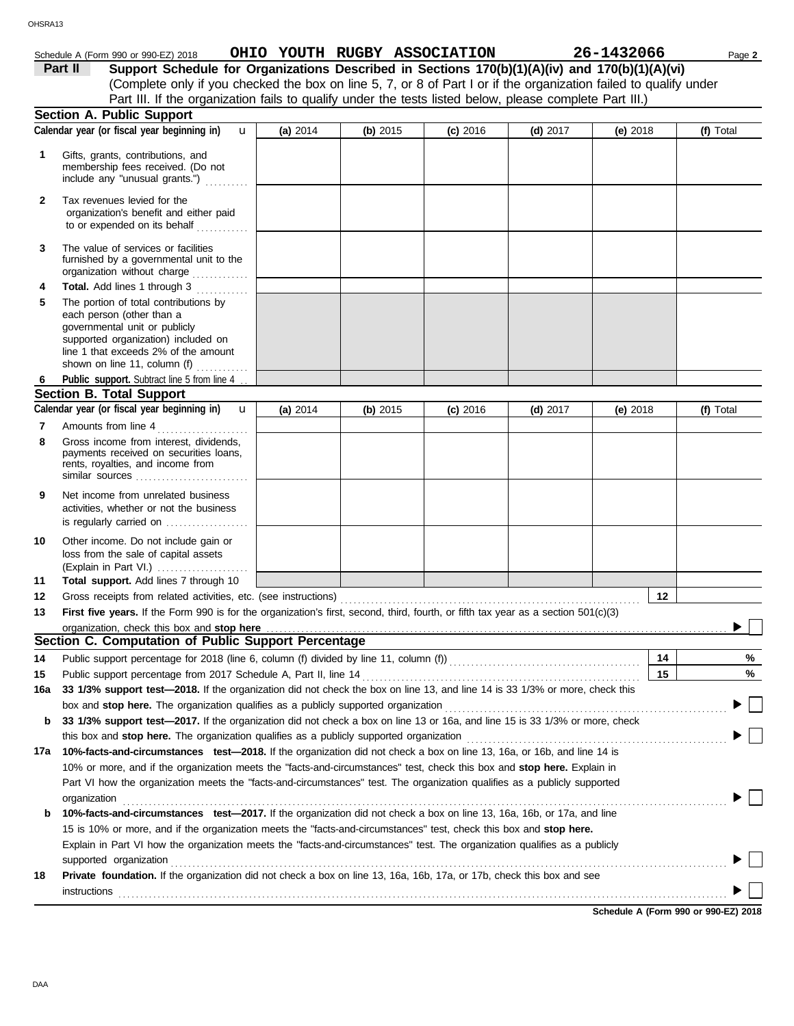| HSRA13         |                                                                                                                                                                                                                                                                                                                                           |          |                              |            |            |            |           |
|----------------|-------------------------------------------------------------------------------------------------------------------------------------------------------------------------------------------------------------------------------------------------------------------------------------------------------------------------------------------|----------|------------------------------|------------|------------|------------|-----------|
|                | Schedule A (Form 990 or 990-EZ) 2018                                                                                                                                                                                                                                                                                                      |          | OHIO YOUTH RUGBY ASSOCIATION |            |            | 26-1432066 | Page 2    |
|                | Part II<br>Support Schedule for Organizations Described in Sections 170(b)(1)(A)(iv) and 170(b)(1)(A)(vi)<br>(Complete only if you checked the box on line 5, 7, or 8 of Part I or if the organization failed to qualify under<br>Part III. If the organization fails to qualify under the tests listed below, please complete Part III.) |          |                              |            |            |            |           |
|                | <b>Section A. Public Support</b>                                                                                                                                                                                                                                                                                                          |          |                              |            |            |            |           |
|                | Calendar year (or fiscal year beginning in)<br>$\mathbf{u}$                                                                                                                                                                                                                                                                               | (a) 2014 | (b) 2015                     | $(c)$ 2016 | $(d)$ 2017 | $(e)$ 2018 | (f) Total |
| $\overline{2}$ | Gifts, grants, contributions, and<br>membership fees received. (Do not<br>include any "unusual grants.")<br>Tax revenues levied for the<br>organization's benefit and either paid<br>to or expended on its behalf                                                                                                                         |          |                              |            |            |            |           |
| 3              | The value of services or facilities<br>furnished by a governmental unit to the<br>organization without charge                                                                                                                                                                                                                             |          |                              |            |            |            |           |
| 4              | <b>Total.</b> Add lines 1 through 3                                                                                                                                                                                                                                                                                                       |          |                              |            |            |            |           |
| 5              | The portion of total contributions by<br>each person (other than a<br>governmental unit or publicly<br>supported organization) included on<br>line 1 that exceeds 2% of the amount<br>shown on line 11, column (f)                                                                                                                        |          |                              |            |            |            |           |
|                | Public support. Subtract line 5 from line 4.                                                                                                                                                                                                                                                                                              |          |                              |            |            |            |           |
|                | Section B Total Support                                                                                                                                                                                                                                                                                                                   |          |                              |            |            |            |           |

|     | <b>Section B. Total Support</b>                                                                                                           |          |          |            |            |          |           |
|-----|-------------------------------------------------------------------------------------------------------------------------------------------|----------|----------|------------|------------|----------|-----------|
|     | Calendar year (or fiscal year beginning in)<br>$\mathbf{u}$                                                                               | (a) 2014 | (b) 2015 | $(c)$ 2016 | $(d)$ 2017 | (e) 2018 | (f) Total |
| 7   | Amounts from line 4                                                                                                                       |          |          |            |            |          |           |
| 8   | Gross income from interest, dividends,<br>payments received on securities loans,<br>rents, royalties, and income from<br>similar sources  |          |          |            |            |          |           |
| 9   | Net income from unrelated business<br>activities, whether or not the business<br>is regularly carried on                                  |          |          |            |            |          |           |
| 10  | Other income. Do not include gain or<br>loss from the sale of capital assets                                                              |          |          |            |            |          |           |
| 11  | Total support. Add lines 7 through 10                                                                                                     |          |          |            |            |          |           |
| 12  | Gross receipts from related activities, etc. (see instructions)                                                                           |          |          |            |            | 12       |           |
| 13  | First five years. If the Form 990 is for the organization's first, second, third, fourth, or fifth tax year as a section 501(c)(3)        |          |          |            |            |          |           |
|     |                                                                                                                                           |          |          |            |            |          |           |
|     | Section C. Computation of Public Support Percentage                                                                                       |          |          |            |            |          |           |
| 14  |                                                                                                                                           |          |          |            |            | 14       | %         |
| 15  | Public support percentage from 2017 Schedule A, Part II, line 14                                                                          |          |          |            |            | 15       | %         |
| 16a | 33 1/3% support test-2018. If the organization did not check the box on line 13, and line 14 is 33 1/3% or more, check this               |          |          |            |            |          |           |
|     | box and stop here. The organization qualifies as a publicly supported organization                                                        |          |          |            |            |          |           |
| b   | 33 1/3% support test-2017. If the organization did not check a box on line 13 or 16a, and line 15 is 33 1/3% or more, check               |          |          |            |            |          |           |
|     | this box and stop here. The organization qualifies as a publicly supported organization                                                   |          |          |            |            |          |           |
| 17a | 10%-facts-and-circumstances test-2018. If the organization did not check a box on line 13, 16a, or 16b, and line 14 is                    |          |          |            |            |          |           |
|     | 10% or more, and if the organization meets the "facts-and-circumstances" test, check this box and stop here. Explain in                   |          |          |            |            |          |           |
|     | Part VI how the organization meets the "facts-and-circumstances" test. The organization qualifies as a publicly supported<br>organization |          |          |            |            |          |           |
| b   | 10%-facts-and-circumstances test-2017. If the organization did not check a box on line 13, 16a, 16b, or 17a, and line                     |          |          |            |            |          |           |

|    | Explain in Part VI how the organization meets the "facts-and-circumstances" test. The organization qualifies as a publicly   |  |
|----|------------------------------------------------------------------------------------------------------------------------------|--|
|    | supported organization                                                                                                       |  |
| 18 | <b>Private foundation.</b> If the organization did not check a box on line 13, 16a, 16b, 17a, or 17b, check this box and see |  |
|    | instructions                                                                                                                 |  |

15 is 10% or more, and if the organization meets the "facts-and-circumstances" test, check this box and **stop here.**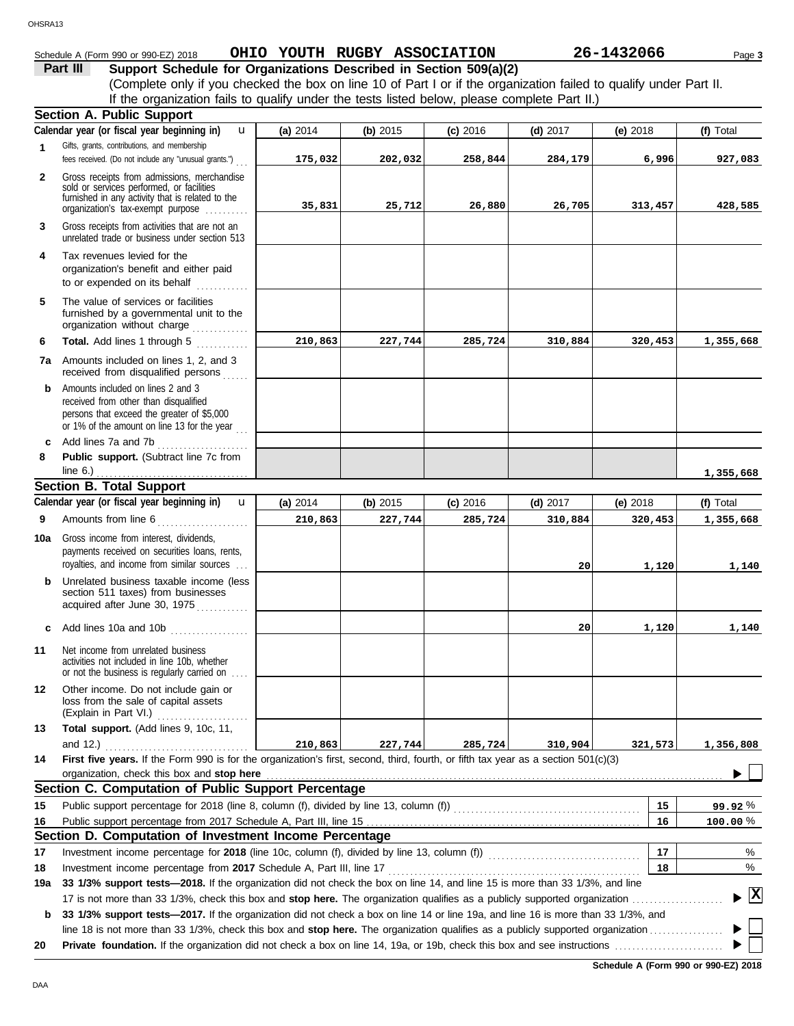## Schedule A (Form 990 or 990-EZ) 2018 **OHIO YOUTH RUGBY ASSOCIATION** 26-1432066 Page 3

|          | Schedule A (Form 990 or 990-EZ) 2018                              |  | OHIO YOUTH RUGBY ASSOCIATION                                                                 | 26-1432066                                                                                                         |
|----------|-------------------------------------------------------------------|--|----------------------------------------------------------------------------------------------|--------------------------------------------------------------------------------------------------------------------|
| Part III | Support Schedule for Organizations Described in Section 509(a)(2) |  |                                                                                              |                                                                                                                    |
|          |                                                                   |  |                                                                                              | (Complete only if you checked the box on line 10 of Part I or if the organization failed to qualify under Part II. |
|          |                                                                   |  | If the organization fails to qualify under the tests listed below, please complete Part II.) |                                                                                                                    |
|          | Continue A. Dublin Company                                        |  |                                                                                              |                                                                                                                    |

|              | Section A. Public Support                                                                                                                                                         |          |          |            |            |            |              |
|--------------|-----------------------------------------------------------------------------------------------------------------------------------------------------------------------------------|----------|----------|------------|------------|------------|--------------|
|              | Calendar year (or fiscal year beginning in)<br>$\mathbf{u}$                                                                                                                       | (a) 2014 | (b) 2015 | $(c)$ 2016 | (d) $2017$ | (e) 2018   | (f) Total    |
| 1            | Gifts, grants, contributions, and membership<br>fees received. (Do not include any "unusual grants.")                                                                             | 175,032  | 202,032  | 258,844    | 284,179    | 6,996      | 927,083      |
| $\mathbf{2}$ | Gross receipts from admissions, merchandise<br>sold or services performed, or facilities<br>furnished in any activity that is related to the<br>organization's tax-exempt purpose | 35,831   | 25,712   | 26,880     | 26,705     | 313,457    | 428,585      |
| 3            | Gross receipts from activities that are not an<br>unrelated trade or business under section 513                                                                                   |          |          |            |            |            |              |
| 4            | Tax revenues levied for the<br>organization's benefit and either paid<br>to or expended on its behalf<br>and a straight                                                           |          |          |            |            |            |              |
| 5            | The value of services or facilities<br>furnished by a governmental unit to the<br>organization without charge                                                                     |          |          |            |            |            |              |
| 6            | Total. Add lines 1 through 5                                                                                                                                                      | 210,863  | 227,744  | 285,724    | 310,884    | 320,453    | 1,355,668    |
| 7а           | Amounts included on lines 1, 2, and 3<br>received from disqualified persons                                                                                                       |          |          |            |            |            |              |
| b            | Amounts included on lines 2 and 3<br>received from other than disqualified<br>persons that exceed the greater of \$5,000<br>or 1% of the amount on line 13 for the year           |          |          |            |            |            |              |
| c            | Add lines 7a and 7b                                                                                                                                                               |          |          |            |            |            |              |
| 8            | Public support. (Subtract line 7c from<br>line $6.$ )                                                                                                                             |          |          |            |            |            | 1,355,668    |
|              | <b>Section B. Total Support</b>                                                                                                                                                   |          |          |            |            |            |              |
|              | Calendar year (or fiscal year beginning in)<br>$\mathbf{u}$                                                                                                                       | (a) 2014 | (b) 2015 | $(c)$ 2016 | (d) $2017$ | (e) $2018$ | (f) Total    |
| 9            | Amounts from line 6                                                                                                                                                               | 210,863  | 227,744  | 285,724    | 310,884    | 320,453    | 1,355,668    |
| 10a          | Gross income from interest, dividends,<br>payments received on securities loans, rents,<br>royalties, and income from similar sources                                             |          |          |            | 20         | 1,120      | 1,140        |
|              | <b>b</b> Unrelated business taxable income (less<br>section 511 taxes) from businesses<br>acquired after June 30, 1975                                                            |          |          |            |            |            |              |
| c            | Add lines 10a and 10b                                                                                                                                                             |          |          |            | 20         | 1,120      | 1,140        |
| 11           | Net income from unrelated business<br>activities not included in line 10b, whether<br>or not the business is regularly carried on                                                 |          |          |            |            |            |              |
| 12           | Other income. Do not include gain or<br>loss from the sale of capital assets<br>(Explain in Part VI.)                                                                             |          |          |            |            |            |              |
| 13           | Total support. (Add lines 9, 10c, 11,<br>and 12.) $\ldots$                                                                                                                        | 210,863  | 227,744  | 285,724    | 310,904    | 321,573    | 1,356,808    |
| 14           | First five years. If the Form 990 is for the organization's first, second, third, fourth, or fifth tax year as a section 501(c)(3)                                                |          |          |            |            |            |              |
|              | organization, check this box and stop here                                                                                                                                        |          |          |            |            |            |              |
|              | Section C. Computation of Public Support Percentage                                                                                                                               |          |          |            |            |            |              |
| 15           |                                                                                                                                                                                   |          |          |            |            | 15         | 99.92%       |
| 16           |                                                                                                                                                                                   |          |          |            |            | 16         | 100.00%      |
|              | Section D. Computation of Investment Income Percentage                                                                                                                            |          |          |            |            |            |              |
| 17           | Investment income percentage for 2018 (line 10c, column (f), divided by line 13, column (f)) [[[[[[[[[[[[[[[[[                                                                    |          |          |            |            | 17         | %            |
| 18           | Investment income percentage from 2017 Schedule A, Part III, line 17                                                                                                              |          |          |            |            | 18         | %            |
| 19a          | 33 1/3% support tests-2018. If the organization did not check the box on line 14, and line 15 is more than 33 1/3%, and line                                                      |          |          |            |            |            |              |
|              |                                                                                                                                                                                   |          |          |            |            |            | $\mathbf{x}$ |
| b            | 33 1/3% support tests-2017. If the organization did not check a box on line 14 or line 19a, and line 16 is more than 33 1/3%, and                                                 |          |          |            |            |            |              |
|              | line 18 is not more than 33 1/3%, check this box and stop here. The organization qualifies as a publicly supported organization                                                   |          |          |            |            |            |              |
| 20           |                                                                                                                                                                                   |          |          |            |            |            |              |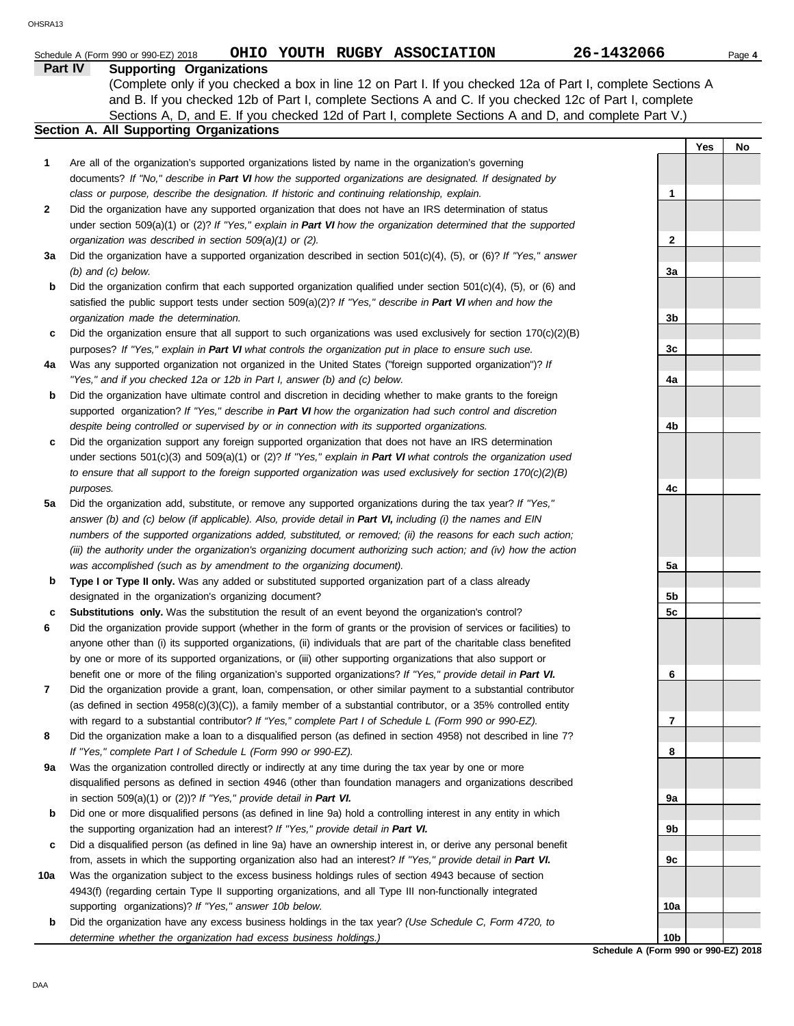|     | OHIO YOUTH RUGBY ASSOCIATION<br>Schedule A (Form 990 or 990-EZ) 2018                                                                                                                                           | 26-1432066      |     | Page 4 |
|-----|----------------------------------------------------------------------------------------------------------------------------------------------------------------------------------------------------------------|-----------------|-----|--------|
|     | Part IV<br><b>Supporting Organizations</b>                                                                                                                                                                     |                 |     |        |
|     | (Complete only if you checked a box in line 12 on Part I. If you checked 12a of Part I, complete Sections A                                                                                                    |                 |     |        |
|     | and B. If you checked 12b of Part I, complete Sections A and C. If you checked 12c of Part I, complete<br>Sections A, D, and E. If you checked 12d of Part I, complete Sections A and D, and complete Part V.) |                 |     |        |
|     | Section A. All Supporting Organizations                                                                                                                                                                        |                 |     |        |
|     |                                                                                                                                                                                                                |                 | Yes | No     |
| 1   | Are all of the organization's supported organizations listed by name in the organization's governing                                                                                                           |                 |     |        |
|     | documents? If "No," describe in Part VI how the supported organizations are designated. If designated by                                                                                                       |                 |     |        |
|     | class or purpose, describe the designation. If historic and continuing relationship, explain.                                                                                                                  | 1               |     |        |
| 2   | Did the organization have any supported organization that does not have an IRS determination of status                                                                                                         |                 |     |        |
|     | under section 509(a)(1) or (2)? If "Yes," explain in Part VI how the organization determined that the supported                                                                                                | 2               |     |        |
| За  | organization was described in section 509(a)(1) or (2).<br>Did the organization have a supported organization described in section $501(c)(4)$ , $(5)$ , or $(6)?$ If "Yes," answer                            |                 |     |        |
|     | $(b)$ and $(c)$ below.                                                                                                                                                                                         | За              |     |        |
| b   | Did the organization confirm that each supported organization qualified under section 501(c)(4), (5), or (6) and                                                                                               |                 |     |        |
|     | satisfied the public support tests under section 509(a)(2)? If "Yes," describe in Part VI when and how the                                                                                                     |                 |     |        |
|     | organization made the determination.                                                                                                                                                                           | 3b              |     |        |
| c   | Did the organization ensure that all support to such organizations was used exclusively for section $170(c)(2)(B)$                                                                                             |                 |     |        |
|     | purposes? If "Yes," explain in Part VI what controls the organization put in place to ensure such use.                                                                                                         | 3c              |     |        |
| 4a  | Was any supported organization not organized in the United States ("foreign supported organization")? If                                                                                                       |                 |     |        |
|     | "Yes," and if you checked 12a or 12b in Part I, answer (b) and (c) below.                                                                                                                                      | 4a              |     |        |
| b   | Did the organization have ultimate control and discretion in deciding whether to make grants to the foreign                                                                                                    |                 |     |        |
|     | supported organization? If "Yes," describe in Part VI how the organization had such control and discretion<br>despite being controlled or supervised by or in connection with its supported organizations.     | 4b              |     |        |
| c   | Did the organization support any foreign supported organization that does not have an IRS determination                                                                                                        |                 |     |        |
|     | under sections $501(c)(3)$ and $509(a)(1)$ or (2)? If "Yes," explain in Part VI what controls the organization used                                                                                            |                 |     |        |
|     | to ensure that all support to the foreign supported organization was used exclusively for section $170(c)(2)(B)$                                                                                               |                 |     |        |
|     | purposes.                                                                                                                                                                                                      | 4c              |     |        |
| 5a  | Did the organization add, substitute, or remove any supported organizations during the tax year? If "Yes,"                                                                                                     |                 |     |        |
|     | answer (b) and (c) below (if applicable). Also, provide detail in Part VI, including (i) the names and EIN                                                                                                     |                 |     |        |
|     | numbers of the supported organizations added, substituted, or removed; (ii) the reasons for each such action;                                                                                                  |                 |     |        |
|     | (iii) the authority under the organization's organizing document authorizing such action; and (iv) how the action                                                                                              |                 |     |        |
|     | was accomplished (such as by amendment to the organizing document).                                                                                                                                            | 5a              |     |        |
| b   | Type I or Type II only. Was any added or substituted supported organization part of a class already<br>designated in the organization's organizing document?                                                   | 5b              |     |        |
| c   | Substitutions only. Was the substitution the result of an event beyond the organization's control?                                                                                                             | 5с              |     |        |
| 6   | Did the organization provide support (whether in the form of grants or the provision of services or facilities) to                                                                                             |                 |     |        |
|     | anyone other than (i) its supported organizations, (ii) individuals that are part of the charitable class benefited                                                                                            |                 |     |        |
|     | by one or more of its supported organizations, or (iii) other supporting organizations that also support or                                                                                                    |                 |     |        |
|     | benefit one or more of the filing organization's supported organizations? If "Yes," provide detail in Part VI.                                                                                                 | 6               |     |        |
| 7   | Did the organization provide a grant, loan, compensation, or other similar payment to a substantial contributor                                                                                                |                 |     |        |
|     | (as defined in section $4958(c)(3)(C)$ ), a family member of a substantial contributor, or a 35% controlled entity                                                                                             |                 |     |        |
|     | with regard to a substantial contributor? If "Yes," complete Part I of Schedule L (Form 990 or 990-EZ).                                                                                                        | 7               |     |        |
| 8   | Did the organization make a loan to a disqualified person (as defined in section 4958) not described in line 7?                                                                                                |                 |     |        |
| 9а  | If "Yes," complete Part I of Schedule L (Form 990 or 990-EZ).<br>Was the organization controlled directly or indirectly at any time during the tax year by one or more                                         | 8               |     |        |
|     | disqualified persons as defined in section 4946 (other than foundation managers and organizations described                                                                                                    |                 |     |        |
|     | in section $509(a)(1)$ or $(2)$ ? If "Yes," provide detail in Part VI.                                                                                                                                         | 9а              |     |        |
| b   | Did one or more disqualified persons (as defined in line 9a) hold a controlling interest in any entity in which                                                                                                |                 |     |        |
|     | the supporting organization had an interest? If "Yes," provide detail in Part VI.                                                                                                                              | 9b              |     |        |
| c   | Did a disqualified person (as defined in line 9a) have an ownership interest in, or derive any personal benefit                                                                                                |                 |     |        |
|     | from, assets in which the supporting organization also had an interest? If "Yes," provide detail in Part VI.                                                                                                   | 9с              |     |        |
| 10a | Was the organization subject to the excess business holdings rules of section 4943 because of section                                                                                                          |                 |     |        |
|     | 4943(f) (regarding certain Type II supporting organizations, and all Type III non-functionally integrated                                                                                                      |                 |     |        |
|     | supporting organizations)? If "Yes," answer 10b below.                                                                                                                                                         | 10a             |     |        |
| b   | Did the organization have any excess business holdings in the tax year? (Use Schedule C, Form 4720, to<br>determine whether the organization had excess business holdings.)                                    | 10 <sub>b</sub> |     |        |

**Schedule A (Form 990 or 990-EZ) 2018 10b**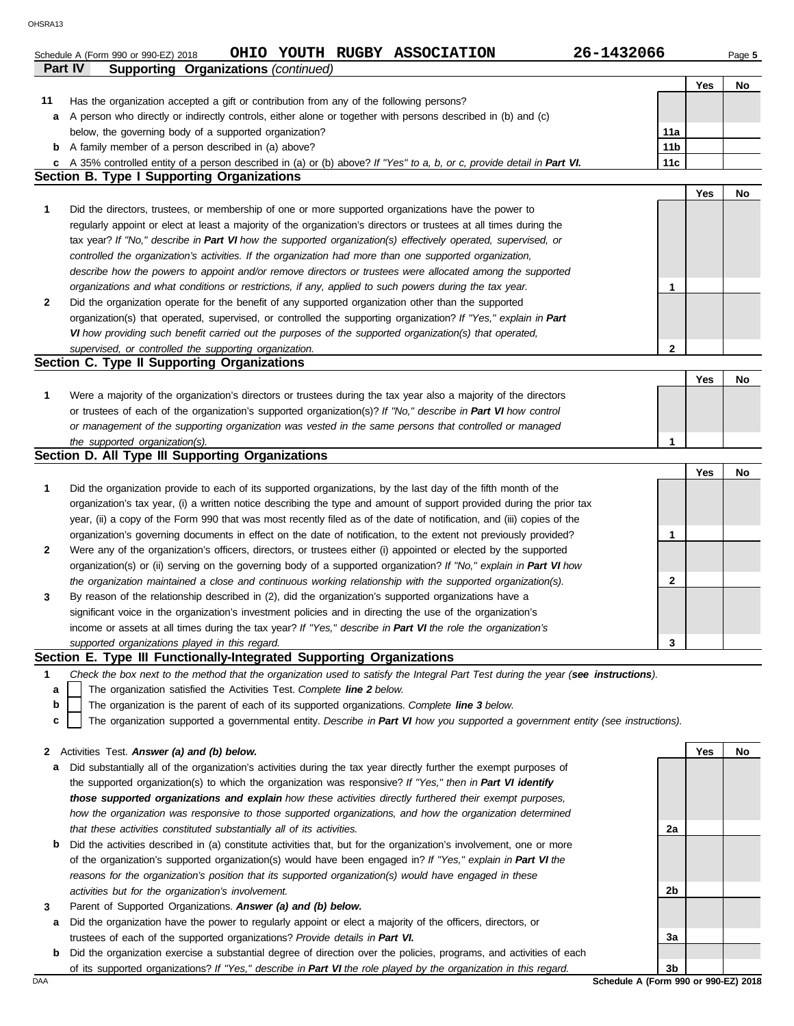|              | Part IV<br><b>Supporting Organizations (continued)</b>                                                                            |                 |     |    |
|--------------|-----------------------------------------------------------------------------------------------------------------------------------|-----------------|-----|----|
|              |                                                                                                                                   |                 | Yes | No |
| 11           | Has the organization accepted a gift or contribution from any of the following persons?                                           |                 |     |    |
| а            | A person who directly or indirectly controls, either alone or together with persons described in (b) and (c)                      |                 |     |    |
|              | below, the governing body of a supported organization?                                                                            | 11a             |     |    |
|              | <b>b</b> A family member of a person described in (a) above?                                                                      | 11 <sub>b</sub> |     |    |
| c            | A 35% controlled entity of a person described in (a) or (b) above? If "Yes" to a, b, or c, provide detail in Part VI.             | 11c             |     |    |
|              | <b>Section B. Type I Supporting Organizations</b>                                                                                 |                 |     |    |
|              |                                                                                                                                   |                 | Yes | No |
|              |                                                                                                                                   |                 |     |    |
| 1            | Did the directors, trustees, or membership of one or more supported organizations have the power to                               |                 |     |    |
|              | regularly appoint or elect at least a majority of the organization's directors or trustees at all times during the                |                 |     |    |
|              | tax year? If "No," describe in Part VI how the supported organization(s) effectively operated, supervised, or                     |                 |     |    |
|              | controlled the organization's activities. If the organization had more than one supported organization,                           |                 |     |    |
|              | describe how the powers to appoint and/or remove directors or trustees were allocated among the supported                         |                 |     |    |
|              | organizations and what conditions or restrictions, if any, applied to such powers during the tax year.                            | 1               |     |    |
| $\mathbf{2}$ | Did the organization operate for the benefit of any supported organization other than the supported                               |                 |     |    |
|              | organization(s) that operated, supervised, or controlled the supporting organization? If "Yes," explain in Part                   |                 |     |    |
|              | VI how providing such benefit carried out the purposes of the supported organization(s) that operated,                            |                 |     |    |
|              | supervised, or controlled the supporting organization.                                                                            | $\mathbf 2$     |     |    |
|              | Section C. Type II Supporting Organizations                                                                                       |                 |     |    |
|              |                                                                                                                                   |                 | Yes | No |
| 1            | Were a majority of the organization's directors or trustees during the tax year also a majority of the directors                  |                 |     |    |
|              | or trustees of each of the organization's supported organization(s)? If "No," describe in Part VI how control                     |                 |     |    |
|              | or management of the supporting organization was vested in the same persons that controlled or managed                            |                 |     |    |
|              | the supported organization(s).                                                                                                    | 1               |     |    |
|              | Section D. All Type III Supporting Organizations                                                                                  |                 |     |    |
|              |                                                                                                                                   |                 | Yes | No |
| 1            | Did the organization provide to each of its supported organizations, by the last day of the fifth month of the                    |                 |     |    |
|              | organization's tax year, (i) a written notice describing the type and amount of support provided during the prior tax             |                 |     |    |
|              | year, (ii) a copy of the Form 990 that was most recently filed as of the date of notification, and (iii) copies of the            |                 |     |    |
|              | organization's governing documents in effect on the date of notification, to the extent not previously provided?                  | 1               |     |    |
| $\mathbf{2}$ | Were any of the organization's officers, directors, or trustees either (i) appointed or elected by the supported                  |                 |     |    |
|              | organization(s) or (ii) serving on the governing body of a supported organization? If "No," explain in Part VI how                |                 |     |    |
|              | the organization maintained a close and continuous working relationship with the supported organization(s).                       | 2               |     |    |
|              |                                                                                                                                   |                 |     |    |
| 3            | By reason of the relationship described in (2), did the organization's supported organizations have a                             |                 |     |    |
|              | significant voice in the organization's investment policies and in directing the use of the organization's                        |                 |     |    |
|              | income or assets at all times during the tax year? If "Yes," describe in Part VI the role the organization's                      | 3               |     |    |
|              | supported organizations played in this regard.                                                                                    |                 |     |    |
|              | Section E. Type III Functionally-Integrated Supporting Organizations                                                              |                 |     |    |
| 1            | Check the box next to the method that the organization used to satisfy the Integral Part Test during the year (see instructions). |                 |     |    |
| а            | The organization satisfied the Activities Test. Complete line 2 below.                                                            |                 |     |    |
| b            | The organization is the parent of each of its supported organizations. Complete line 3 below.                                     |                 |     |    |
| c            | The organization supported a governmental entity. Describe in Part VI how you supported a government entity (see instructions).   |                 |     |    |
|              |                                                                                                                                   |                 |     |    |
| 2            | Activities Test. Answer (a) and (b) below.                                                                                        |                 | Yes | No |
| a            | Did substantially all of the organization's activities during the tax year directly further the exempt purposes of                |                 |     |    |
|              | the supported organization(s) to which the organization was responsive? If "Yes," then in Part VI identify                        |                 |     |    |
|              | those supported organizations and explain how these activities directly furthered their exempt purposes,                          |                 |     |    |
|              | how the organization was responsive to those supported organizations, and how the organization determined                         |                 |     |    |
|              | that these activities constituted substantially all of its activities.                                                            | 2a              |     |    |
| b            | Did the activities described in (a) constitute activities that, but for the organization's involvement, one or more               |                 |     |    |
|              | of the organization's supported organization(s) would have been engaged in? If "Yes," explain in Part VI the                      |                 |     |    |
|              | reasons for the organization's position that its supported organization(s) would have engaged in these                            |                 |     |    |
|              | activities but for the organization's involvement.                                                                                | 2b              |     |    |
| 3            | Parent of Supported Organizations. Answer (a) and (b) below.                                                                      |                 |     |    |
| а            | Did the organization have the power to regularly appoint or elect a majority of the officers, directors, or                       |                 |     |    |
|              | trustees of each of the supported organizations? Provide details in Part VI.                                                      | За              |     |    |
| b            | Did the organization exercise a substantial degree of direction over the policies, programs, and activities of each               |                 |     |    |
|              | of its supported organizations? If "Yes," describe in Part VI the role played by the organization in this regard.                 | 3b              |     |    |
| DAA          | Schedule A (Form 990 or 990-EZ) 2018                                                                                              |                 |     |    |

Schedule A (Form 990 or 990-EZ) 2018 **OHIO YOUTH RUGBY ASSOCIATION** 26-1432066 Page 5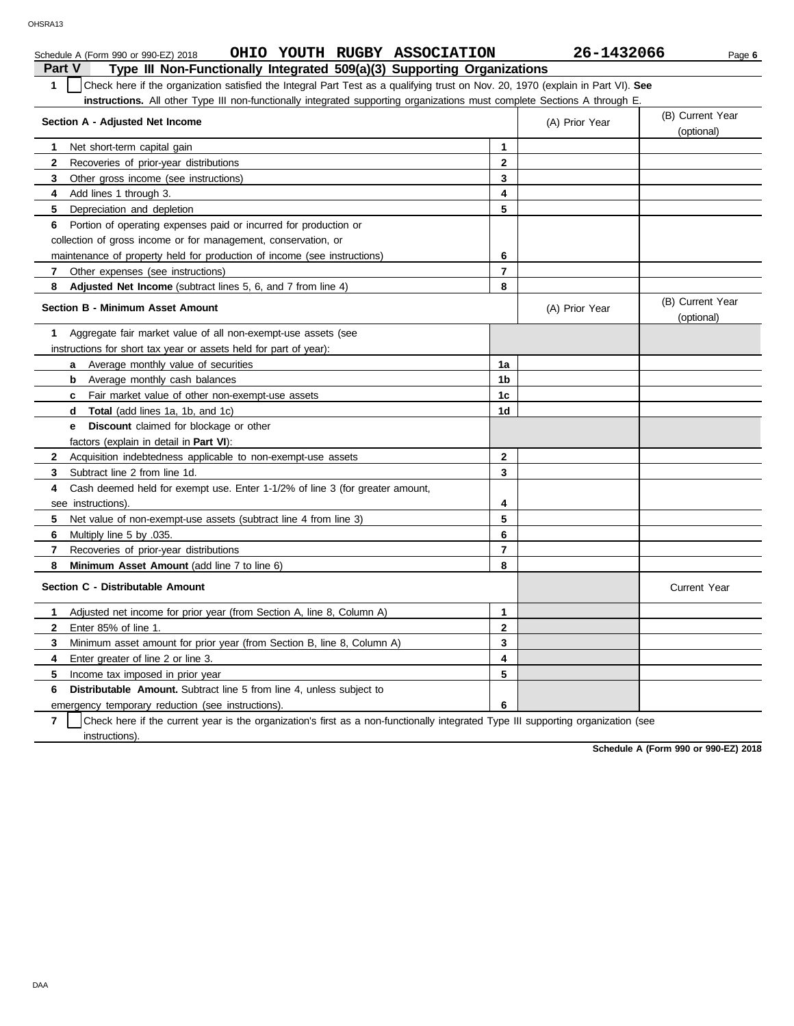|              | OHIO YOUTH RUGBY ASSOCIATION<br>Schedule A (Form 990 or 990-EZ) 2018                                                             |                | 26-1432066     | Page 6                         |  |  |  |
|--------------|----------------------------------------------------------------------------------------------------------------------------------|----------------|----------------|--------------------------------|--|--|--|
| Part V       | Type III Non-Functionally Integrated 509(a)(3) Supporting Organizations                                                          |                |                |                                |  |  |  |
| $\mathbf{1}$ | Check here if the organization satisfied the Integral Part Test as a qualifying trust on Nov. 20, 1970 (explain in Part VI). See |                |                |                                |  |  |  |
|              | <b>instructions.</b> All other Type III non-functionally integrated supporting organizations must complete Sections A through E. |                |                |                                |  |  |  |
|              | (B) Current Year                                                                                                                 |                |                |                                |  |  |  |
|              | Section A - Adjusted Net Income                                                                                                  |                | (A) Prior Year | (optional)                     |  |  |  |
| 1            | Net short-term capital gain                                                                                                      | $\mathbf{1}$   |                |                                |  |  |  |
| $\mathbf{2}$ | Recoveries of prior-year distributions                                                                                           | 2              |                |                                |  |  |  |
| 3            | Other gross income (see instructions)                                                                                            | 3              |                |                                |  |  |  |
| 4            | Add lines 1 through 3.                                                                                                           | 4              |                |                                |  |  |  |
| 5            | Depreciation and depletion                                                                                                       | 5              |                |                                |  |  |  |
| 6            | Portion of operating expenses paid or incurred for production or                                                                 |                |                |                                |  |  |  |
|              | collection of gross income or for management, conservation, or                                                                   |                |                |                                |  |  |  |
|              | maintenance of property held for production of income (see instructions)                                                         | 6              |                |                                |  |  |  |
| $7^{\circ}$  | Other expenses (see instructions)                                                                                                | $\overline{7}$ |                |                                |  |  |  |
| 8            | Adjusted Net Income (subtract lines 5, 6, and 7 from line 4)                                                                     | 8              |                |                                |  |  |  |
|              | <b>Section B - Minimum Asset Amount</b>                                                                                          |                | (A) Prior Year | (B) Current Year<br>(optional) |  |  |  |
| 1            | Aggregate fair market value of all non-exempt-use assets (see                                                                    |                |                |                                |  |  |  |
|              | instructions for short tax year or assets held for part of year):                                                                |                |                |                                |  |  |  |
|              | <b>a</b> Average monthly value of securities                                                                                     | 1a             |                |                                |  |  |  |
|              | Average monthly cash balances<br>b                                                                                               | 1b             |                |                                |  |  |  |
|              | <b>c</b> Fair market value of other non-exempt-use assets                                                                        | 1c             |                |                                |  |  |  |
|              | <b>Total</b> (add lines 1a, 1b, and 1c)<br>d                                                                                     | 1d             |                |                                |  |  |  |
|              | <b>Discount</b> claimed for blockage or other<br>e                                                                               |                |                |                                |  |  |  |
|              | factors (explain in detail in Part VI):                                                                                          |                |                |                                |  |  |  |
| $\mathbf{2}$ | Acquisition indebtedness applicable to non-exempt-use assets                                                                     | $\mathbf{2}$   |                |                                |  |  |  |
| 3            | Subtract line 2 from line 1d.                                                                                                    | 3              |                |                                |  |  |  |
| 4            | Cash deemed held for exempt use. Enter 1-1/2% of line 3 (for greater amount,                                                     |                |                |                                |  |  |  |
|              | see instructions).                                                                                                               | 4              |                |                                |  |  |  |
| 5            | Net value of non-exempt-use assets (subtract line 4 from line 3)                                                                 | 5              |                |                                |  |  |  |
| 6            | Multiply line 5 by .035.                                                                                                         | 6              |                |                                |  |  |  |
| 7            | Recoveries of prior-year distributions                                                                                           | $\overline{7}$ |                |                                |  |  |  |
| 8            | Minimum Asset Amount (add line 7 to line 6)                                                                                      | 8              |                |                                |  |  |  |
|              | Section C - Distributable Amount                                                                                                 |                |                | <b>Current Year</b>            |  |  |  |
| 1            | Adjusted net income for prior year (from Section A, line 8, Column A)                                                            | 1              |                |                                |  |  |  |
| $\mathbf{2}$ | Enter 85% of line 1.                                                                                                             | $\mathbf{2}$   |                |                                |  |  |  |
| 3            | Minimum asset amount for prior year (from Section B, line 8, Column A)                                                           | 3              |                |                                |  |  |  |
| 4            | Enter greater of line 2 or line 3.                                                                                               | 4              |                |                                |  |  |  |
| 5            | Income tax imposed in prior year                                                                                                 | 5              |                |                                |  |  |  |
| 6            | <b>Distributable Amount.</b> Subtract line 5 from line 4, unless subject to                                                      |                |                |                                |  |  |  |
|              | emergency temporary reduction (see instructions).                                                                                | 6              |                |                                |  |  |  |

emergency temporary reduction (see instructions).

**7** instructions). Check here if the current year is the organization's first as a non-functionally integrated Type III supporting organization (see

| Non-Functionally Integrated 509(a)(3) Supporting Organizations |  |  |  |
|----------------------------------------------------------------|--|--|--|
|                                                                |  |  |  |
|                                                                |  |  |  |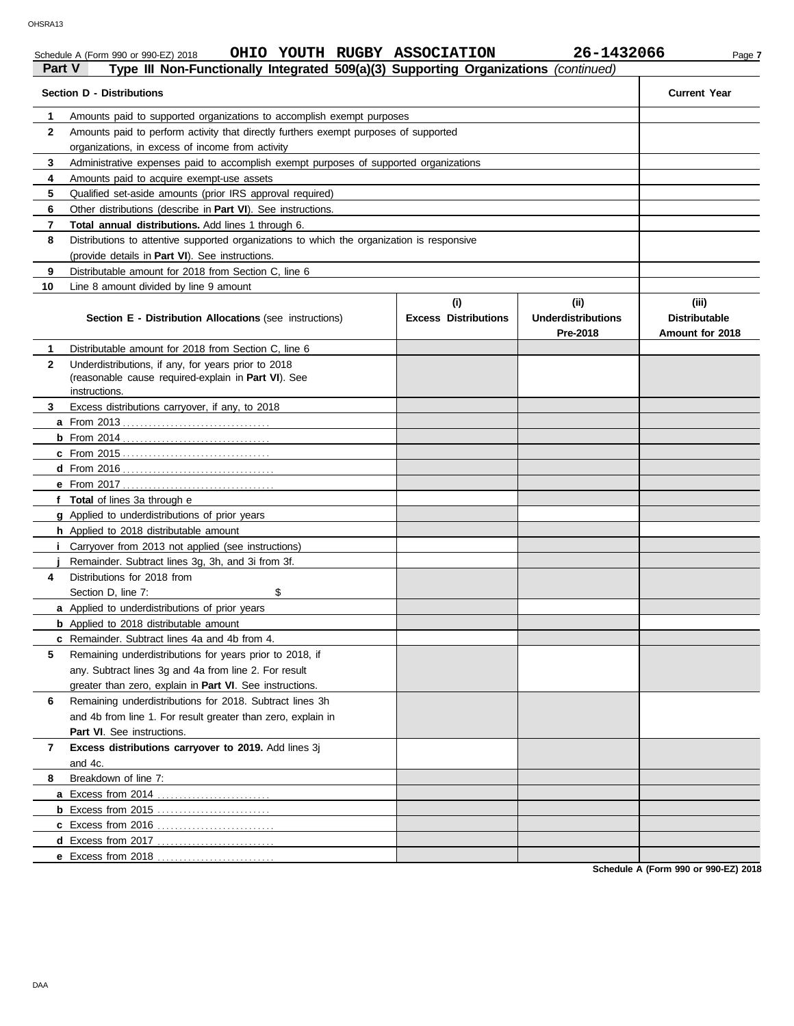### Schedule A (Form 990 or 990-EZ) 2018 **OHIO YOUTH RUGBY ASSOCIATION** 26-1432066 Page 7

| Part V | Type III Non-Functionally Integrated 509(a)(3) Supporting Organizations (continued)                                         |                                    |                                               |                                                  |
|--------|-----------------------------------------------------------------------------------------------------------------------------|------------------------------------|-----------------------------------------------|--------------------------------------------------|
|        | <b>Section D - Distributions</b>                                                                                            |                                    |                                               | <b>Current Year</b>                              |
| 1      | Amounts paid to supported organizations to accomplish exempt purposes                                                       |                                    |                                               |                                                  |
| 2      | Amounts paid to perform activity that directly furthers exempt purposes of supported                                        |                                    |                                               |                                                  |
|        | organizations, in excess of income from activity                                                                            |                                    |                                               |                                                  |
| 3      | Administrative expenses paid to accomplish exempt purposes of supported organizations                                       |                                    |                                               |                                                  |
| 4      | Amounts paid to acquire exempt-use assets                                                                                   |                                    |                                               |                                                  |
| 5      | Qualified set-aside amounts (prior IRS approval required)                                                                   |                                    |                                               |                                                  |
| 6      | Other distributions (describe in <b>Part VI</b> ). See instructions.                                                        |                                    |                                               |                                                  |
| 7      | <b>Total annual distributions.</b> Add lines 1 through 6.                                                                   |                                    |                                               |                                                  |
| 8      | Distributions to attentive supported organizations to which the organization is responsive                                  |                                    |                                               |                                                  |
|        | (provide details in Part VI). See instructions.                                                                             |                                    |                                               |                                                  |
| 9      | Distributable amount for 2018 from Section C, line 6                                                                        |                                    |                                               |                                                  |
| 10     | Line 8 amount divided by line 9 amount                                                                                      |                                    |                                               |                                                  |
|        | <b>Section E - Distribution Allocations (see instructions)</b>                                                              | (i)<br><b>Excess Distributions</b> | (ii)<br><b>Underdistributions</b><br>Pre-2018 | (iii)<br><b>Distributable</b><br>Amount for 2018 |
| 1      | Distributable amount for 2018 from Section C, line 6                                                                        |                                    |                                               |                                                  |
| 2      | Underdistributions, if any, for years prior to 2018<br>(reasonable cause required-explain in Part VI). See<br>instructions. |                                    |                                               |                                                  |
| 3      | Excess distributions carryover, if any, to 2018                                                                             |                                    |                                               |                                                  |
|        |                                                                                                                             |                                    |                                               |                                                  |
|        |                                                                                                                             |                                    |                                               |                                                  |
|        |                                                                                                                             |                                    |                                               |                                                  |
|        |                                                                                                                             |                                    |                                               |                                                  |
|        |                                                                                                                             |                                    |                                               |                                                  |
|        | f Total of lines 3a through e                                                                                               |                                    |                                               |                                                  |
|        | <b>g</b> Applied to underdistributions of prior years                                                                       |                                    |                                               |                                                  |
|        | h Applied to 2018 distributable amount                                                                                      |                                    |                                               |                                                  |
|        | Carryover from 2013 not applied (see instructions)                                                                          |                                    |                                               |                                                  |
|        | Remainder. Subtract lines 3g, 3h, and 3i from 3f.                                                                           |                                    |                                               |                                                  |
| 4      | Distributions for 2018 from                                                                                                 |                                    |                                               |                                                  |
|        | \$<br>Section D, line 7:                                                                                                    |                                    |                                               |                                                  |
|        | <b>a</b> Applied to underdistributions of prior years                                                                       |                                    |                                               |                                                  |
|        | <b>b</b> Applied to 2018 distributable amount                                                                               |                                    |                                               |                                                  |
|        | <b>c</b> Remainder. Subtract lines 4a and 4b from 4.                                                                        |                                    |                                               |                                                  |
| 5      | Remaining underdistributions for years prior to 2018, if                                                                    |                                    |                                               |                                                  |
|        | any. Subtract lines 3q and 4a from line 2. For result                                                                       |                                    |                                               |                                                  |
|        | greater than zero, explain in Part VI. See instructions.                                                                    |                                    |                                               |                                                  |
| 6      | Remaining underdistributions for 2018. Subtract lines 3h                                                                    |                                    |                                               |                                                  |
|        | and 4b from line 1. For result greater than zero, explain in                                                                |                                    |                                               |                                                  |
|        | Part VI. See instructions.                                                                                                  |                                    |                                               |                                                  |
| 7      | Excess distributions carryover to 2019. Add lines 3j                                                                        |                                    |                                               |                                                  |
|        | and 4c.                                                                                                                     |                                    |                                               |                                                  |
| 8      | Breakdown of line 7:                                                                                                        |                                    |                                               |                                                  |
|        |                                                                                                                             |                                    |                                               |                                                  |
|        | <b>b</b> Excess from 2015                                                                                                   |                                    |                                               |                                                  |
|        |                                                                                                                             |                                    |                                               |                                                  |
|        |                                                                                                                             |                                    |                                               |                                                  |
|        | e Excess from 2018                                                                                                          |                                    |                                               |                                                  |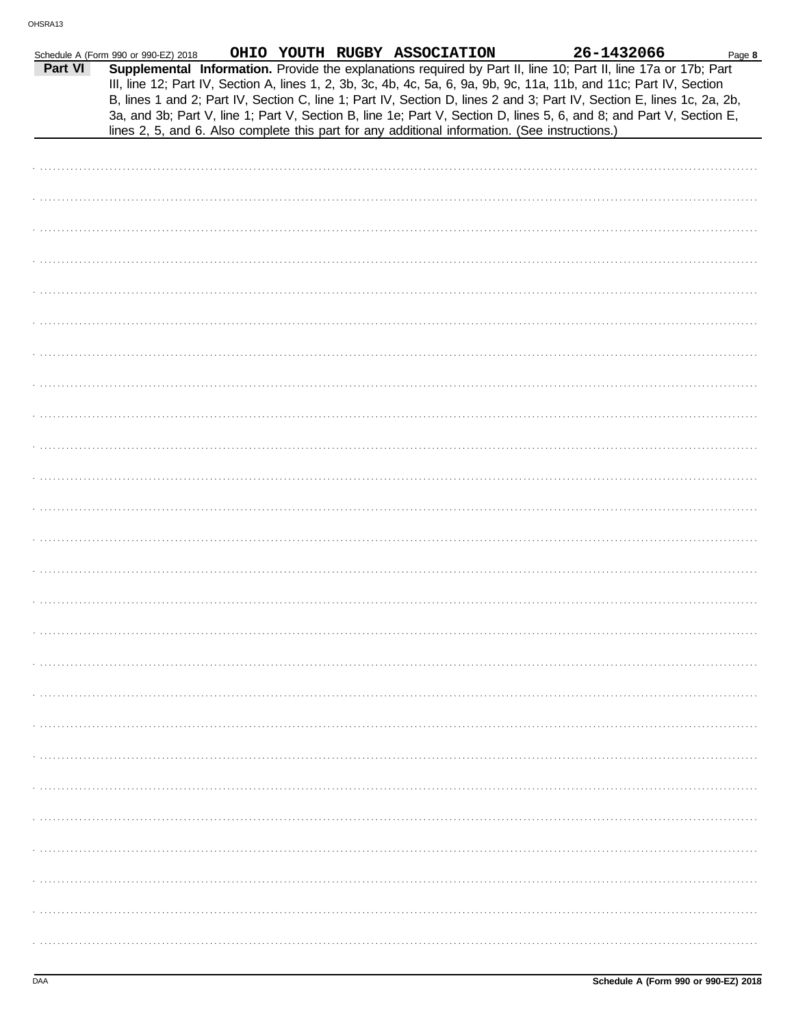|         | Schedule A (Form 990 or 990-EZ) 2018 |  | OHIO YOUTH RUGBY ASSOCIATION | 26-1432066                                                                                                                                                                                                                                                                                                                                                        | Page 8 |
|---------|--------------------------------------|--|------------------------------|-------------------------------------------------------------------------------------------------------------------------------------------------------------------------------------------------------------------------------------------------------------------------------------------------------------------------------------------------------------------|--------|
| Part VI |                                      |  |                              | Supplemental Information. Provide the explanations required by Part II, line 10; Part II, line 17a or 17b; Part<br>III, line 12; Part IV, Section A, lines 1, 2, 3b, 3c, 4b, 4c, 5a, 6, 9a, 9b, 9c, 11a, 11b, and 11c; Part IV, Section<br>B, lines 1 and 2; Part IV, Section C, line 1; Part IV, Section D, lines 2 and 3; Part IV, Section E, lines 1c, 2a, 2b, |        |
|         |                                      |  |                              | 3a, and 3b; Part V, line 1; Part V, Section B, line 1e; Part V, Section D, lines 5, 6, and 8; and Part V, Section E,<br>lines 2, 5, and 6. Also complete this part for any additional information. (See instructions.)                                                                                                                                            |        |
|         |                                      |  |                              |                                                                                                                                                                                                                                                                                                                                                                   |        |
|         |                                      |  |                              |                                                                                                                                                                                                                                                                                                                                                                   |        |
|         |                                      |  |                              |                                                                                                                                                                                                                                                                                                                                                                   |        |
|         |                                      |  |                              |                                                                                                                                                                                                                                                                                                                                                                   |        |
|         |                                      |  |                              |                                                                                                                                                                                                                                                                                                                                                                   |        |
|         |                                      |  |                              |                                                                                                                                                                                                                                                                                                                                                                   |        |
|         |                                      |  |                              |                                                                                                                                                                                                                                                                                                                                                                   |        |
|         |                                      |  |                              |                                                                                                                                                                                                                                                                                                                                                                   |        |
|         |                                      |  |                              |                                                                                                                                                                                                                                                                                                                                                                   |        |
|         |                                      |  |                              |                                                                                                                                                                                                                                                                                                                                                                   |        |
|         |                                      |  |                              |                                                                                                                                                                                                                                                                                                                                                                   |        |
|         |                                      |  |                              |                                                                                                                                                                                                                                                                                                                                                                   |        |
|         |                                      |  |                              |                                                                                                                                                                                                                                                                                                                                                                   |        |
|         |                                      |  |                              |                                                                                                                                                                                                                                                                                                                                                                   |        |
|         |                                      |  |                              |                                                                                                                                                                                                                                                                                                                                                                   |        |
|         |                                      |  |                              |                                                                                                                                                                                                                                                                                                                                                                   |        |
|         |                                      |  |                              |                                                                                                                                                                                                                                                                                                                                                                   |        |
|         |                                      |  |                              |                                                                                                                                                                                                                                                                                                                                                                   |        |
|         |                                      |  |                              |                                                                                                                                                                                                                                                                                                                                                                   |        |
|         |                                      |  |                              |                                                                                                                                                                                                                                                                                                                                                                   |        |
|         |                                      |  |                              |                                                                                                                                                                                                                                                                                                                                                                   |        |
|         |                                      |  |                              |                                                                                                                                                                                                                                                                                                                                                                   |        |
|         |                                      |  |                              |                                                                                                                                                                                                                                                                                                                                                                   |        |
|         |                                      |  |                              |                                                                                                                                                                                                                                                                                                                                                                   |        |
|         |                                      |  |                              |                                                                                                                                                                                                                                                                                                                                                                   |        |
|         |                                      |  |                              |                                                                                                                                                                                                                                                                                                                                                                   |        |
|         |                                      |  |                              |                                                                                                                                                                                                                                                                                                                                                                   |        |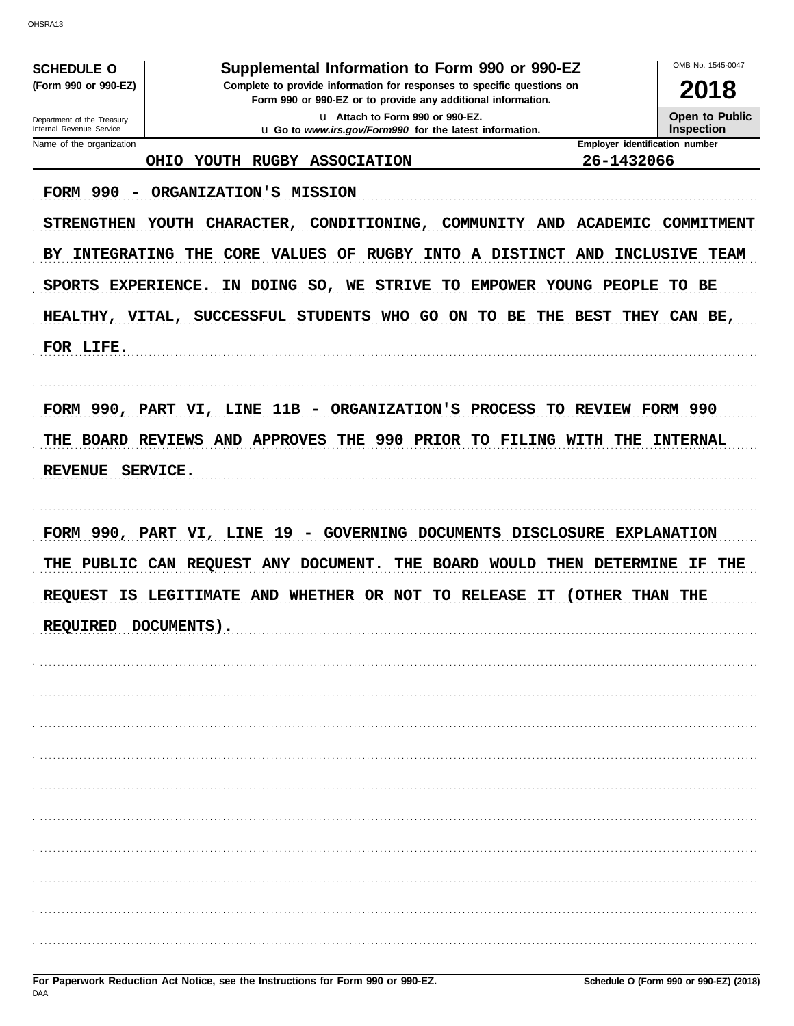OHSRA13

| <b>SCHEDULE O</b>          | Supplemental Information to Form 990 or 990-EZ                             |                                | OMB No. 1545-0047     |  |  |
|----------------------------|----------------------------------------------------------------------------|--------------------------------|-----------------------|--|--|
| (Form 990 or 990-EZ)       | Complete to provide information for responses to specific questions on     | 2018                           |                       |  |  |
| Department of the Treasury | u Attach to Form 990 or 990-EZ.                                            |                                |                       |  |  |
| Internal Revenue Service   | u Go to www.irs.gov/Form990 for the latest information.                    |                                | <b>Inspection</b>     |  |  |
| Name of the organization   |                                                                            | Employer identification number |                       |  |  |
|                            | YOUTH RUGBY ASSOCIATION<br><b>OHIO</b>                                     | 26-1432066                     |                       |  |  |
| <b>FORM 990</b>            | ORGANIZATION'S MISSION                                                     |                                |                       |  |  |
| <b>STRENGTHEN</b>          | CHARACTER,<br>CONDITIONING,<br><b>YOUTH</b><br>COMMUNITY<br>AND            | <b>ACADEMIC</b>                | COMMITMENT            |  |  |
| <b>INTEGRATING</b><br>BY.  | THE CORE VALUES OF RUGBY INTO A DISTINCT                                   | AND                            | <b>INCLUSIVE TEAM</b> |  |  |
| SPORTS EXPERIENCE.         | IN DOING SO, WE STRIVE<br>TO EMPOWER YOUNG PEOPLE                          |                                | TO BE                 |  |  |
|                            | HEALTHY, VITAL, SUCCESSFUL STUDENTS WHO GO ON TO BE THE BEST THEY CAN BE,  |                                |                       |  |  |
|                            |                                                                            |                                |                       |  |  |
| FOR LIFE.                  |                                                                            |                                |                       |  |  |
|                            |                                                                            |                                |                       |  |  |
|                            | FORM 990, PART VI, LINE 11B - ORGANIZATION'S PROCESS TO REVIEW FORM 990    |                                |                       |  |  |
| THE                        | BOARD REVIEWS AND APPROVES THE 990 PRIOR TO FILING WITH THE                |                                | <b>INTERNAL</b>       |  |  |
|                            |                                                                            |                                |                       |  |  |
| <b>REVENUE</b>             | SERVICE.                                                                   |                                |                       |  |  |
|                            |                                                                            |                                |                       |  |  |
|                            | FORM 990, PART VI, LINE<br>-19<br>GOVERNING DOCUMENTS<br><b>DISCLOSURE</b> |                                | <b>EXPLANATION</b>    |  |  |
| PUBLIC<br>THE              | CAN REQUEST ANY DOCUMENT.<br><b>BOARD WOULD</b><br>THE                     | THEN DETERMINE                 | THE<br>IF.            |  |  |
| <b>REQUEST</b><br>IS.      | LEGITIMATE AND WHETHER OR NOT<br>TO RELEASE<br>IT                          | (OTHER)<br>THAN                | THE                   |  |  |
|                            |                                                                            |                                |                       |  |  |
|                            | RED DOCUMENTS)                                                             |                                |                       |  |  |
|                            |                                                                            |                                |                       |  |  |
|                            |                                                                            |                                |                       |  |  |
|                            |                                                                            |                                |                       |  |  |
|                            |                                                                            |                                |                       |  |  |
|                            |                                                                            |                                |                       |  |  |
|                            |                                                                            |                                |                       |  |  |
|                            |                                                                            |                                |                       |  |  |
|                            |                                                                            |                                |                       |  |  |
|                            |                                                                            |                                |                       |  |  |
|                            |                                                                            |                                |                       |  |  |
|                            |                                                                            |                                |                       |  |  |
|                            |                                                                            |                                |                       |  |  |
|                            |                                                                            |                                |                       |  |  |
|                            |                                                                            |                                |                       |  |  |
|                            |                                                                            |                                |                       |  |  |